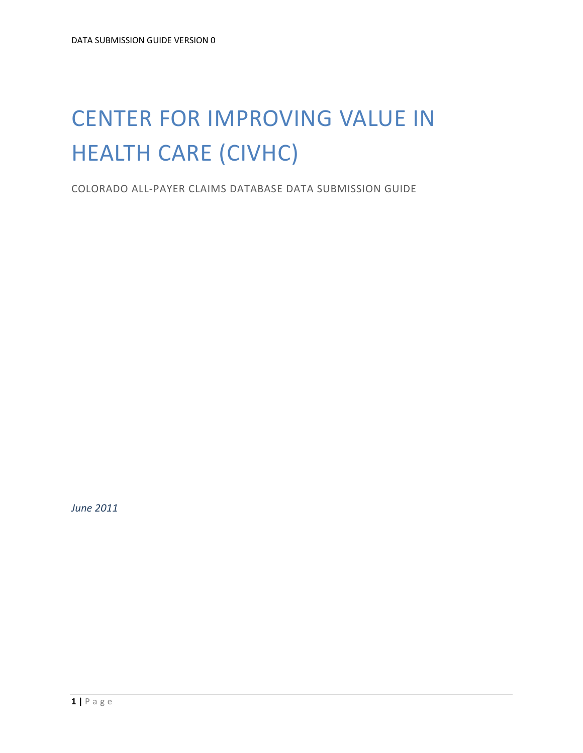# CENTER FOR IMPROVING VALUE IN HEALTH CARE (CIVHC)

COLORADO ALL-PAYER CLAIMS DATABASE DATA SUBMISSION GUIDE

*June 2011*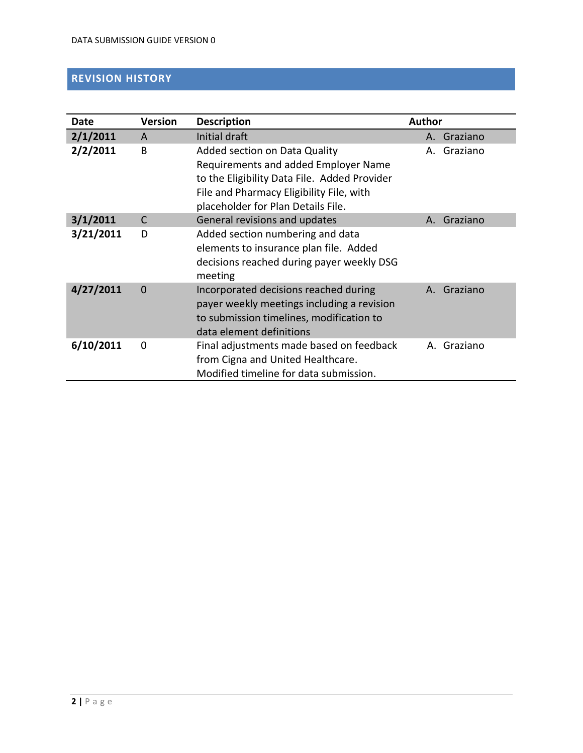# <span id="page-1-0"></span>**REVISION HISTORY**

| Date      | <b>Version</b> | <b>Description</b>                                                                                                                                                                                      | <b>Author</b> |             |
|-----------|----------------|---------------------------------------------------------------------------------------------------------------------------------------------------------------------------------------------------------|---------------|-------------|
| 2/1/2011  | A              | Initial draft                                                                                                                                                                                           | А.            | Graziano    |
| 2/2/2011  | B              | Added section on Data Quality<br>Requirements and added Employer Name<br>to the Eligibility Data File. Added Provider<br>File and Pharmacy Eligibility File, with<br>placeholder for Plan Details File. | А.            | Graziano    |
| 3/1/2011  | C              | General revisions and updates                                                                                                                                                                           |               | A. Graziano |
| 3/21/2011 | D              | Added section numbering and data<br>elements to insurance plan file. Added<br>decisions reached during payer weekly DSG<br>meeting                                                                      |               |             |
| 4/27/2011 | $\Omega$       | Incorporated decisions reached during<br>payer weekly meetings including a revision<br>to submission timelines, modification to<br>data element definitions                                             |               | A. Graziano |
| 6/10/2011 | $\Omega$       | Final adjustments made based on feedback<br>from Cigna and United Healthcare.<br>Modified timeline for data submission.                                                                                 |               | A. Graziano |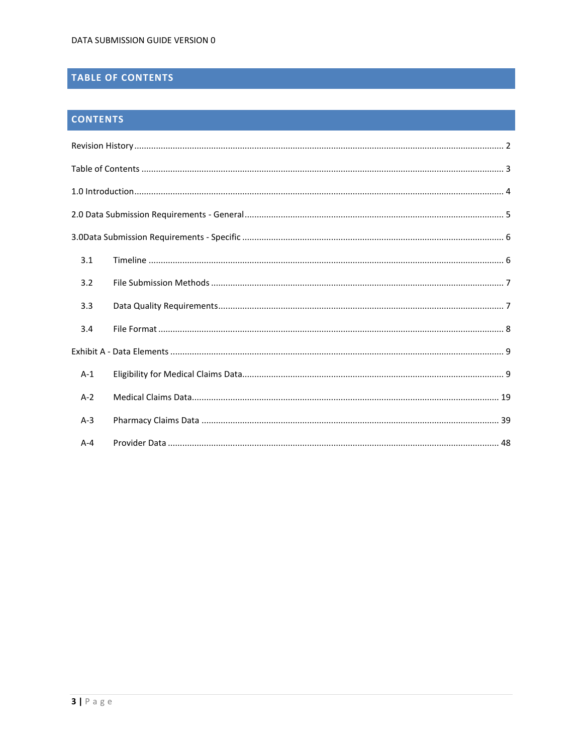# <span id="page-2-0"></span>TABLE OF CONTENTS

# **CONTENTS**

| 3.1     |  |
|---------|--|
| 3.2     |  |
| 3.3     |  |
| 3.4     |  |
|         |  |
| $A-1$   |  |
| $A-2$   |  |
| $A-3$   |  |
| $A - 4$ |  |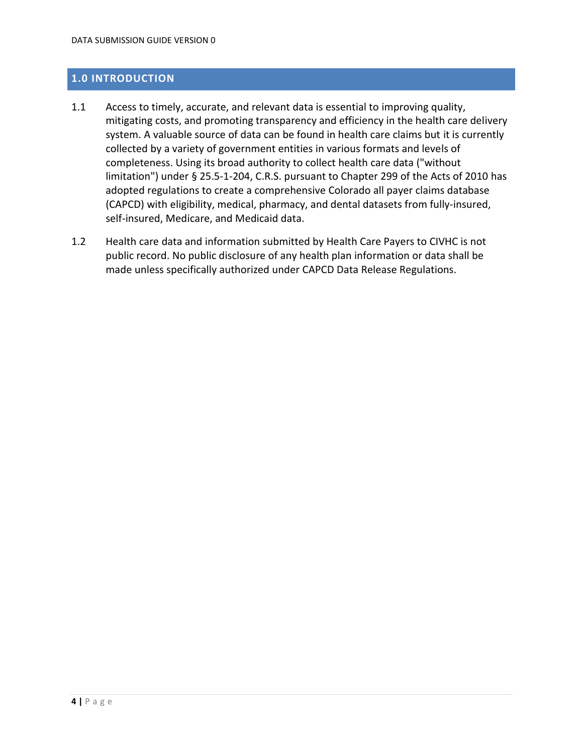### <span id="page-3-0"></span>**1.0 INTRODUCTION**

- 1.1 Access to timely, accurate, and relevant data is essential to improving quality, mitigating costs, and promoting transparency and efficiency in the health care delivery system. A valuable source of data can be found in health care claims but it is currently collected by a variety of government entities in various formats and levels of completeness. Using its broad authority to collect health care data ("without limitation") under § 25.5-1-204, C.R.S. pursuant to Chapter 299 of the Acts of 2010 has adopted regulations to create a comprehensive Colorado all payer claims database (CAPCD) with eligibility, medical, pharmacy, and dental datasets from fully-insured, self-insured, Medicare, and Medicaid data.
- 1.2 Health care data and information submitted by Health Care Payers to CIVHC is not public record. No public disclosure of any health plan information or data shall be made unless specifically authorized under CAPCD Data Release Regulations.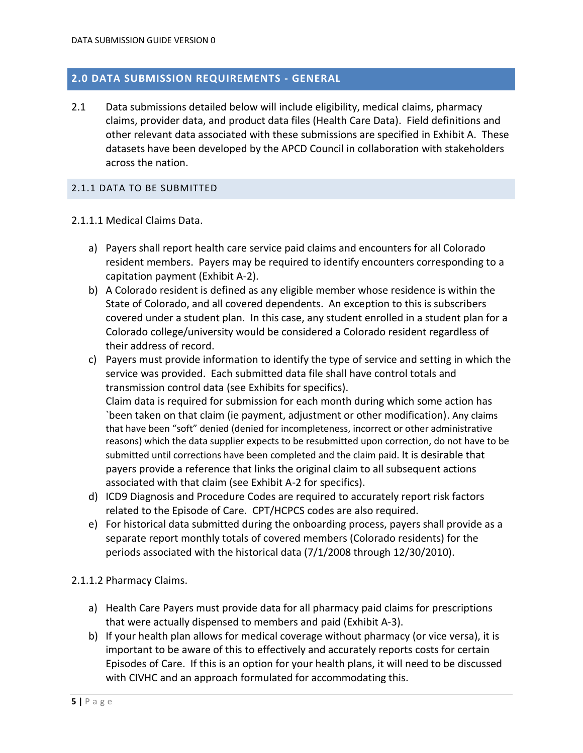### <span id="page-4-0"></span>**2.0 DATA SUBMISSION REQUIREMENTS - GENERAL**

2.1 Data submissions detailed below will include eligibility, medical claims, pharmacy claims, provider data, and product data files (Health Care Data). Field definitions and other relevant data associated with these submissions are specified in Exhibit A. These datasets have been developed by the APCD Council in collaboration with stakeholders across the nation.

#### 2.1.1 DATA TO BE SUBMITTED

- 2.1.1.1 Medical Claims Data.
	- a) Payers shall report health care service paid claims and encounters for all Colorado resident members. Payers may be required to identify encounters corresponding to a capitation payment (Exhibit A-2).
	- b) A Colorado resident is defined as any eligible member whose residence is within the State of Colorado, and all covered dependents. An exception to this is subscribers covered under a student plan. In this case, any student enrolled in a student plan for a Colorado college/university would be considered a Colorado resident regardless of their address of record.
	- c) Payers must provide information to identify the type of service and setting in which the service was provided. Each submitted data file shall have control totals and transmission control data (see Exhibits for specifics). Claim data is required for submission for each month during which some action has `been taken on that claim (ie payment, adjustment or other modification). Any claims that have been "soft" denied (denied for incompleteness, incorrect or other administrative reasons) which the data supplier expects to be resubmitted upon correction, do not have to be submitted until corrections have been completed and the claim paid. It is desirable that payers provide a reference that links the original claim to all subsequent actions associated with that claim (see Exhibit A-2 for specifics).
	- d) ICD9 Diagnosis and Procedure Codes are required to accurately report risk factors related to the Episode of Care. CPT/HCPCS codes are also required.
	- e) For historical data submitted during the onboarding process, payers shall provide as a separate report monthly totals of covered members (Colorado residents) for the periods associated with the historical data (7/1/2008 through 12/30/2010).

#### 2.1.1.2 Pharmacy Claims.

- a) Health Care Payers must provide data for all pharmacy paid claims for prescriptions that were actually dispensed to members and paid (Exhibit A-3).
- b) If your health plan allows for medical coverage without pharmacy (or vice versa), it is important to be aware of this to effectively and accurately reports costs for certain Episodes of Care. If this is an option for your health plans, it will need to be discussed with CIVHC and an approach formulated for accommodating this.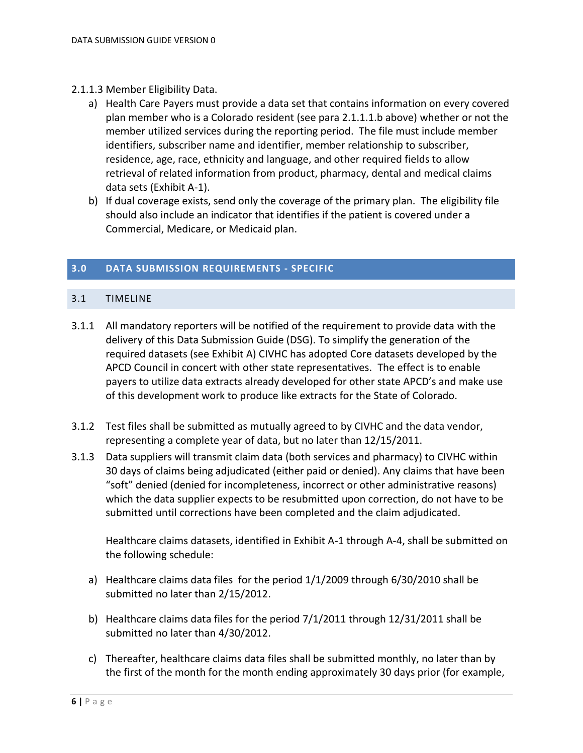- 2.1.1.3 Member Eligibility Data.
	- a) Health Care Payers must provide a data set that contains information on every covered plan member who is a Colorado resident (see para 2.1.1.1.b above) whether or not the member utilized services during the reporting period. The file must include member identifiers, subscriber name and identifier, member relationship to subscriber, residence, age, race, ethnicity and language, and other required fields to allow retrieval of related information from product, pharmacy, dental and medical claims data sets (Exhibit A-1).
	- b) If dual coverage exists, send only the coverage of the primary plan. The eligibility file should also include an indicator that identifies if the patient is covered under a Commercial, Medicare, or Medicaid plan.

#### <span id="page-5-0"></span>**3.0 DATA SUBMISSION REQUIREMENTS - SPECIFIC**

### <span id="page-5-1"></span>3.1 TIMELINE

- 3.1.1 All mandatory reporters will be notified of the requirement to provide data with the delivery of this Data Submission Guide (DSG). To simplify the generation of the required datasets (see Exhibit A) CIVHC has adopted Core datasets developed by the APCD Council in concert with other state representatives. The effect is to enable payers to utilize data extracts already developed for other state APCD's and make use of this development work to produce like extracts for the State of Colorado.
- 3.1.2 Test files shall be submitted as mutually agreed to by CIVHC and the data vendor, representing a complete year of data, but no later than 12/15/2011.
- 3.1.3 Data suppliers will transmit claim data (both services and pharmacy) to CIVHC within 30 days of claims being adjudicated (either paid or denied). Any claims that have been "soft" denied (denied for incompleteness, incorrect or other administrative reasons) which the data supplier expects to be resubmitted upon correction, do not have to be submitted until corrections have been completed and the claim adjudicated.

Healthcare claims datasets, identified in Exhibit A-1 through A-4, shall be submitted on the following schedule:

- a) Healthcare claims data files for the period 1/1/2009 through 6/30/2010 shall be submitted no later than 2/15/2012.
- b) Healthcare claims data files for the period 7/1/2011 through 12/31/2011 shall be submitted no later than 4/30/2012.
- c) Thereafter, healthcare claims data files shall be submitted monthly, no later than by the first of the month for the month ending approximately 30 days prior (for example,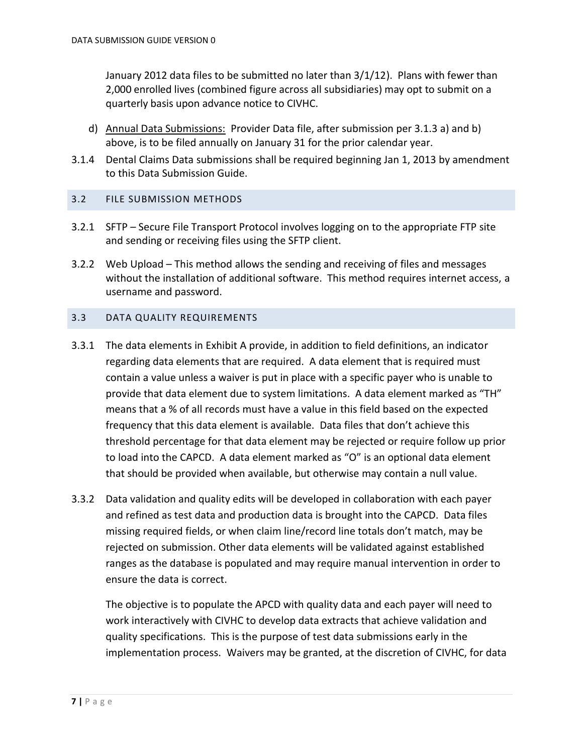January 2012 data files to be submitted no later than 3/1/12). Plans with fewer than 2,000 enrolled lives (combined figure across all subsidiaries) may opt to submit on a quarterly basis upon advance notice to CIVHC.

- d) Annual Data Submissions: Provider Data file, after submission per 3.1.3 a) and b) above, is to be filed annually on January 31 for the prior calendar year.
- 3.1.4 Dental Claims Data submissions shall be required beginning Jan 1, 2013 by amendment to this Data Submission Guide.

#### <span id="page-6-0"></span>3.2 FILE SUBMISSION METHODS

- 3.2.1 SFTP Secure File Transport Protocol involves logging on to the appropriate FTP site and sending or receiving files using the SFTP client.
- 3.2.2 Web Upload This method allows the sending and receiving of files and messages without the installation of additional software. This method requires internet access, a username and password.

#### <span id="page-6-1"></span>3.3 DATA QUALITY REQUIREMENTS

- 3.3.1 The data elements in Exhibit A provide, in addition to field definitions, an indicator regarding data elements that are required. A data element that is required must contain a value unless a waiver is put in place with a specific payer who is unable to provide that data element due to system limitations. A data element marked as "TH" means that a % of all records must have a value in this field based on the expected frequency that this data element is available. Data files that don't achieve this threshold percentage for that data element may be rejected or require follow up prior to load into the CAPCD. A data element marked as "O" is an optional data element that should be provided when available, but otherwise may contain a null value.
- 3.3.2 Data validation and quality edits will be developed in collaboration with each payer and refined as test data and production data is brought into the CAPCD. Data files missing required fields, or when claim line/record line totals don't match, may be rejected on submission. Other data elements will be validated against established ranges as the database is populated and may require manual intervention in order to ensure the data is correct.

The objective is to populate the APCD with quality data and each payer will need to work interactively with CIVHC to develop data extracts that achieve validation and quality specifications. This is the purpose of test data submissions early in the implementation process. Waivers may be granted, at the discretion of CIVHC, for data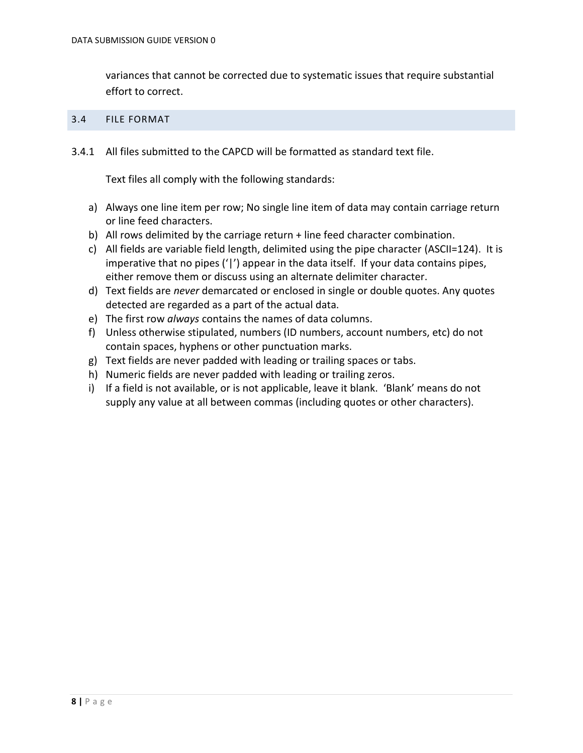variances that cannot be corrected due to systematic issues that require substantial effort to correct.

#### <span id="page-7-0"></span>3.4 FILE FORMAT

3.4.1 All files submitted to the CAPCD will be formatted as standard text file.

Text files all comply with the following standards:

- a) Always one line item per row; No single line item of data may contain carriage return or line feed characters.
- b) All rows delimited by the carriage return + line feed character combination.
- c) All fields are variable field length, delimited using the pipe character (ASCII=124). It is imperative that no pipes  $('')$  appear in the data itself. If your data contains pipes, either remove them or discuss using an alternate delimiter character.
- d) Text fields are *never* demarcated or enclosed in single or double quotes. Any quotes detected are regarded as a part of the actual data.
- e) The first row *always* contains the names of data columns.
- f) Unless otherwise stipulated, numbers (ID numbers, account numbers, etc) do not contain spaces, hyphens or other punctuation marks.
- g) Text fields are never padded with leading or trailing spaces or tabs.
- h) Numeric fields are never padded with leading or trailing zeros.
- i) If a field is not available, or is not applicable, leave it blank. 'Blank' means do not supply any value at all between commas (including quotes or other characters).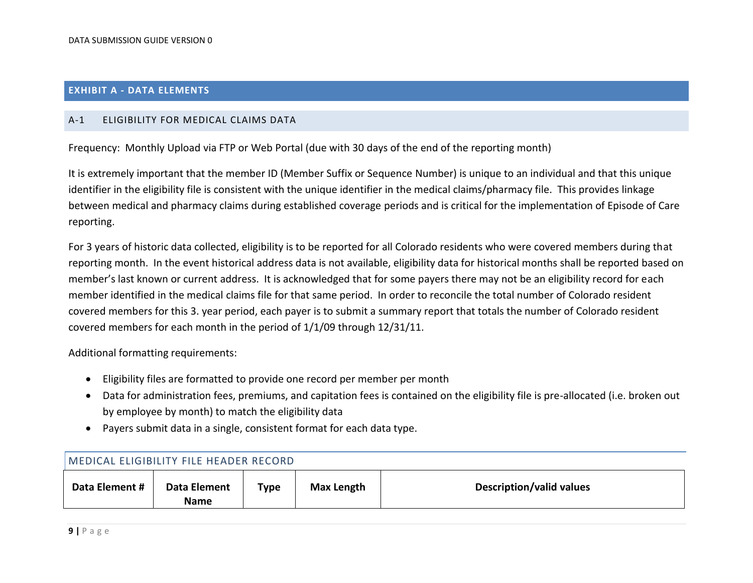#### **EXHIBIT A - DATA ELEMENTS**

#### A-1 ELIGIBILITY FOR MEDICAL CLAIMS DATA

Frequency: Monthly Upload via FTP or Web Portal (due with 30 days of the end of the reporting month)

It is extremely important that the member ID (Member Suffix or Sequence Number) is unique to an individual and that this unique identifier in the eligibility file is consistent with the unique identifier in the medical claims/pharmacy file. This provides linkage between medical and pharmacy claims during established coverage periods and is critical for the implementation of Episode of Care reporting.

<span id="page-8-1"></span><span id="page-8-0"></span>For 3 years of historic data collected, eligibility is to be reported for all Colorado residents who were covered members during that reporting month. In the event historical address data is not available, eligibility data for historical months shall be reported based on member's last known or current address. It is acknowledged that for some payers there may not be an eligibility record for each member identified in the medical claims file for that same period. In order to reconcile the total number of Colorado resident covered members for this 3. year period, each payer is to submit a summary report that totals the number of Colorado resident covered members for each month in the period of 1/1/09 through 12/31/11.

Additional formatting requirements:

- Eligibility files are formatted to provide one record per member per month
- Data for administration fees, premiums, and capitation fees is contained on the eligibility file is pre-allocated (i.e. broken out by employee by month) to match the eligibility data
- Payers submit data in a single, consistent format for each data type.

| MEDICAL ELIGIBILITY FILE HEADER RECORD |                             |      |            |                          |  |  |  |
|----------------------------------------|-----------------------------|------|------------|--------------------------|--|--|--|
| Data Element #                         | Data Element<br><b>Name</b> | Type | Max Length | Description/valid values |  |  |  |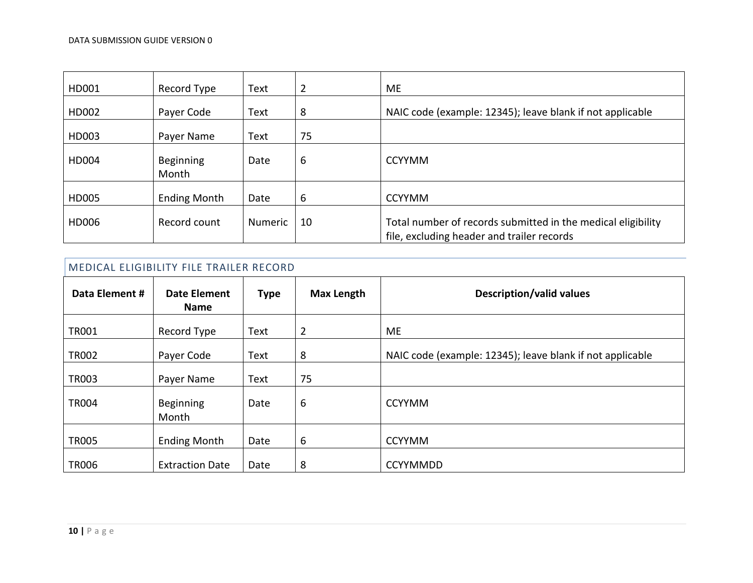| HD001 | Record Type               | Text    | $\overline{2}$ | ME                                                                                                         |
|-------|---------------------------|---------|----------------|------------------------------------------------------------------------------------------------------------|
| HD002 | Payer Code                | Text    | 8              | NAIC code (example: 12345); leave blank if not applicable                                                  |
| HD003 | Payer Name                | Text    | 75             |                                                                                                            |
| HD004 | <b>Beginning</b><br>Month | Date    | 6              | <b>CCYYMM</b>                                                                                              |
| HD005 | <b>Ending Month</b>       | Date    | 6              | <b>CCYYMM</b>                                                                                              |
| HD006 | Record count              | Numeric | 10             | Total number of records submitted in the medical eligibility<br>file, excluding header and trailer records |

| Data Element # | <b>Date Element</b><br>Name | <b>Type</b> | <b>Max Length</b> | <b>Description/valid values</b>                           |
|----------------|-----------------------------|-------------|-------------------|-----------------------------------------------------------|
| <b>TR001</b>   | Record Type                 | Text        | $\overline{2}$    | ME                                                        |
| <b>TR002</b>   | Payer Code                  | Text        | 8                 | NAIC code (example: 12345); leave blank if not applicable |
| <b>TR003</b>   | Payer Name                  | Text        | 75                |                                                           |
| <b>TR004</b>   | Beginning<br>Month          | Date        | 6                 | <b>CCYYMM</b>                                             |
| <b>TR005</b>   | <b>Ending Month</b>         | Date        | 6                 | <b>CCYYMM</b>                                             |
| <b>TR006</b>   | <b>Extraction Date</b>      | Date        | 8                 | <b>CCYYMMDD</b>                                           |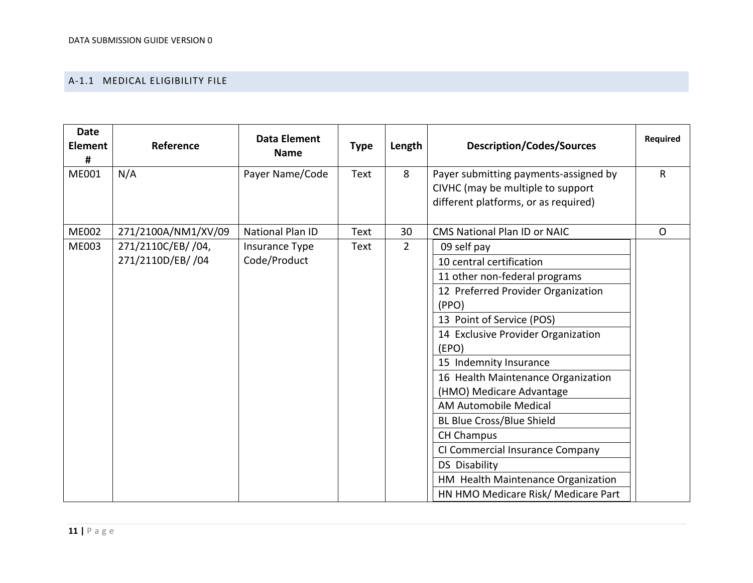#### A-1.1 MEDICAL ELIGIBILITY FILE

| <b>Date</b><br><b>Element</b><br># | Reference           | <b>Data Element</b><br><b>Name</b> | <b>Type</b> | Length         | <b>Description/Codes/Sources</b>                                           | Required     |
|------------------------------------|---------------------|------------------------------------|-------------|----------------|----------------------------------------------------------------------------|--------------|
| <b>ME001</b>                       | N/A                 | Payer Name/Code                    | Text        | 8              | Payer submitting payments-assigned by<br>CIVHC (may be multiple to support | R            |
|                                    |                     |                                    |             |                | different platforms, or as required)                                       |              |
| <b>ME002</b>                       | 271/2100A/NM1/XV/09 | <b>National Plan ID</b>            | <b>Text</b> | 30             | <b>CMS National Plan ID or NAIC</b>                                        | $\mathsf{O}$ |
| <b>ME003</b>                       | 271/2110C/EB/ /04,  | Insurance Type                     | Text        | $\overline{2}$ | 09 self pay                                                                |              |
|                                    | 271/2110D/EB/ /04   | Code/Product                       |             |                | 10 central certification                                                   |              |
|                                    |                     |                                    |             |                | 11 other non-federal programs                                              |              |
|                                    |                     |                                    |             |                | 12 Preferred Provider Organization                                         |              |
|                                    |                     |                                    |             |                | (PPO)                                                                      |              |
|                                    |                     |                                    |             |                | 13 Point of Service (POS)                                                  |              |
|                                    |                     |                                    |             |                | 14 Exclusive Provider Organization                                         |              |
|                                    |                     |                                    |             |                | (EPO)                                                                      |              |
|                                    |                     |                                    |             |                | 15 Indemnity Insurance                                                     |              |
|                                    |                     |                                    |             |                | 16 Health Maintenance Organization                                         |              |
|                                    |                     |                                    |             |                | (HMO) Medicare Advantage                                                   |              |
|                                    |                     |                                    |             |                | <b>AM Automobile Medical</b>                                               |              |
|                                    |                     |                                    |             |                | <b>BL Blue Cross/Blue Shield</b>                                           |              |
|                                    |                     |                                    |             |                | <b>CH Champus</b>                                                          |              |
|                                    |                     |                                    |             |                | CI Commercial Insurance Company                                            |              |
|                                    |                     |                                    |             |                | <b>DS Disability</b>                                                       |              |
|                                    |                     |                                    |             |                | HM Health Maintenance Organization                                         |              |
|                                    |                     |                                    |             |                | HN HMO Medicare Risk/ Medicare Part                                        |              |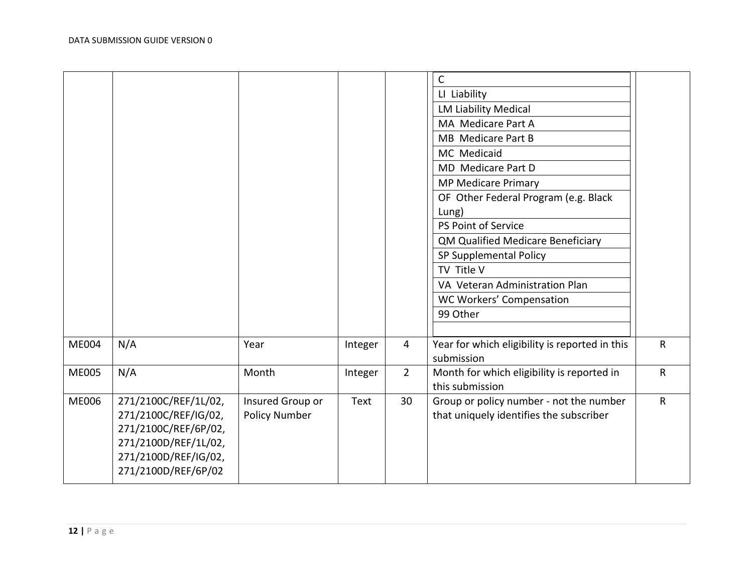|              |                                                                                                                                             |                                          |         |                | $\mathsf{C}$<br>LI Liability<br><b>LM Liability Medical</b><br>MA Medicare Part A<br>MB Medicare Part B<br>MC Medicaid<br>MD Medicare Part D<br><b>MP Medicare Primary</b><br>OF Other Federal Program (e.g. Black<br>Lung)<br>PS Point of Service<br>QM Qualified Medicare Beneficiary<br>SP Supplemental Policy<br>TV Title V<br>VA Veteran Administration Plan<br>WC Workers' Compensation |              |
|--------------|---------------------------------------------------------------------------------------------------------------------------------------------|------------------------------------------|---------|----------------|-----------------------------------------------------------------------------------------------------------------------------------------------------------------------------------------------------------------------------------------------------------------------------------------------------------------------------------------------------------------------------------------------|--------------|
|              |                                                                                                                                             |                                          |         |                | 99 Other                                                                                                                                                                                                                                                                                                                                                                                      |              |
| ME004        | N/A                                                                                                                                         | Year                                     | Integer | 4              | Year for which eligibility is reported in this<br>submission                                                                                                                                                                                                                                                                                                                                  | $\mathsf{R}$ |
| <b>ME005</b> | N/A                                                                                                                                         | Month                                    | Integer | $\overline{2}$ | Month for which eligibility is reported in<br>this submission                                                                                                                                                                                                                                                                                                                                 | ${\sf R}$    |
| <b>ME006</b> | 271/2100C/REF/1L/02,<br>271/2100C/REF/IG/02,<br>271/2100C/REF/6P/02,<br>271/2100D/REF/1L/02,<br>271/2100D/REF/IG/02,<br>271/2100D/REF/6P/02 | Insured Group or<br><b>Policy Number</b> | Text    | 30             | Group or policy number - not the number<br>that uniquely identifies the subscriber                                                                                                                                                                                                                                                                                                            | $\mathsf{R}$ |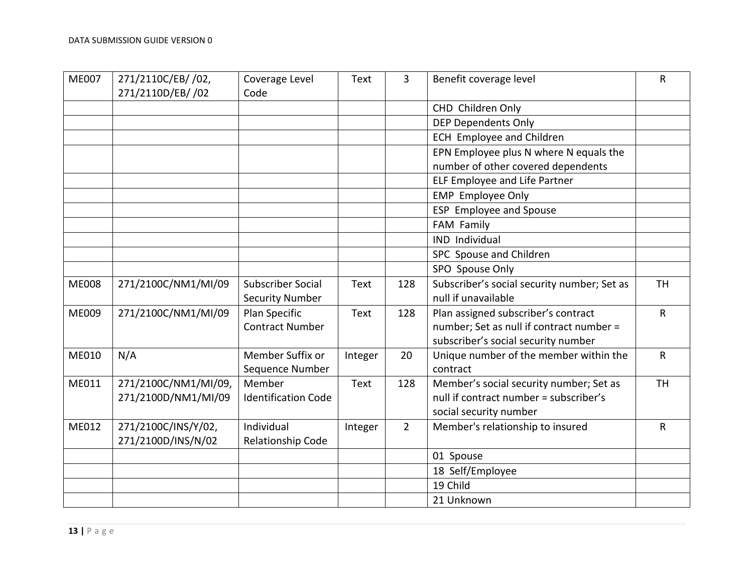| <b>ME007</b> | 271/2110C/EB/ /02,<br>271/2110D/EB/ /02     | Coverage Level<br>Code               | <b>Text</b> | 3              | Benefit coverage level                                                                                      | R            |
|--------------|---------------------------------------------|--------------------------------------|-------------|----------------|-------------------------------------------------------------------------------------------------------------|--------------|
|              |                                             |                                      |             |                | CHD Children Only                                                                                           |              |
|              |                                             |                                      |             |                | <b>DEP Dependents Only</b>                                                                                  |              |
|              |                                             |                                      |             |                | <b>ECH Employee and Children</b>                                                                            |              |
|              |                                             |                                      |             |                | EPN Employee plus N where N equals the<br>number of other covered dependents                                |              |
|              |                                             |                                      |             |                | ELF Employee and Life Partner                                                                               |              |
|              |                                             |                                      |             |                | <b>EMP</b> Employee Only                                                                                    |              |
|              |                                             |                                      |             |                | ESP Employee and Spouse                                                                                     |              |
|              |                                             |                                      |             |                | FAM Family                                                                                                  |              |
|              |                                             |                                      |             |                | <b>IND Individual</b>                                                                                       |              |
|              |                                             |                                      |             |                | SPC Spouse and Children                                                                                     |              |
|              |                                             |                                      |             |                | SPO Spouse Only                                                                                             |              |
| <b>ME008</b> | 271/2100C/NM1/MI/09                         | <b>Subscriber Social</b>             | Text        | 128            | Subscriber's social security number; Set as                                                                 | <b>TH</b>    |
|              |                                             | <b>Security Number</b>               |             |                | null if unavailable                                                                                         |              |
| <b>ME009</b> | 271/2100C/NM1/MI/09                         | Plan Specific                        | Text        | 128            | Plan assigned subscriber's contract                                                                         | $\mathsf R$  |
|              |                                             | <b>Contract Number</b>               |             |                | number; Set as null if contract number =<br>subscriber's social security number                             |              |
| ME010        | N/A                                         | Member Suffix or<br>Sequence Number  | Integer     | 20             | Unique number of the member within the<br>contract                                                          | $\mathsf{R}$ |
| ME011        | 271/2100C/NM1/MI/09,<br>271/2100D/NM1/MI/09 | Member<br><b>Identification Code</b> | Text        | 128            | Member's social security number; Set as<br>null if contract number = subscriber's<br>social security number | <b>TH</b>    |
| ME012        | 271/2100C/INS/Y/02,                         | Individual                           | Integer     | $\overline{2}$ | Member's relationship to insured                                                                            | $\mathsf{R}$ |
|              | 271/2100D/INS/N/02                          | Relationship Code                    |             |                |                                                                                                             |              |
|              |                                             |                                      |             |                | 01 Spouse                                                                                                   |              |
|              |                                             |                                      |             |                | 18 Self/Employee                                                                                            |              |
|              |                                             |                                      |             |                | 19 Child                                                                                                    |              |
|              |                                             |                                      |             |                | 21 Unknown                                                                                                  |              |
|              |                                             |                                      |             |                |                                                                                                             |              |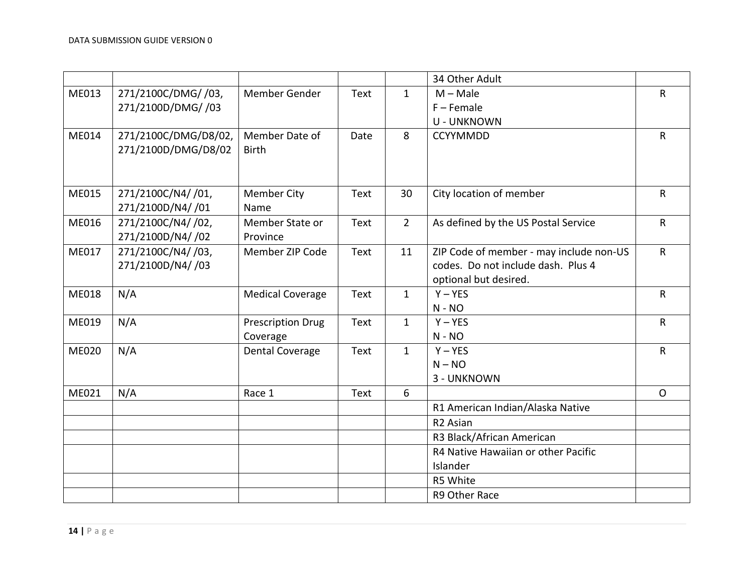|              |                      |                          |      |              | 34 Other Adult                          |              |
|--------------|----------------------|--------------------------|------|--------------|-----------------------------------------|--------------|
| ME013        | 271/2100C/DMG/ /03,  | Member Gender            | Text | $\mathbf{1}$ | $M - Male$                              | $\mathsf{R}$ |
|              | 271/2100D/DMG/ /03   |                          |      |              | $F -$ Female                            |              |
|              |                      |                          |      |              | <b>U - UNKNOWN</b>                      |              |
| ME014        | 271/2100C/DMG/D8/02, | Member Date of           | Date | 8            | <b>CCYYMMDD</b>                         | $\mathsf{R}$ |
|              | 271/2100D/DMG/D8/02  | <b>Birth</b>             |      |              |                                         |              |
|              |                      |                          |      |              |                                         |              |
|              |                      |                          |      |              |                                         |              |
| ME015        | 271/2100C/N4//01,    | <b>Member City</b>       | Text | 30           | City location of member                 | $\mathsf{R}$ |
|              | 271/2100D/N4//01     | Name                     |      |              |                                         |              |
| ME016        | 271/2100C/N4//02,    | Member State or          | Text | $2^{\circ}$  | As defined by the US Postal Service     | $\mathsf{R}$ |
|              | 271/2100D/N4/ /02    | Province                 |      |              |                                         |              |
| ME017        | 271/2100C/N4//03,    | Member ZIP Code          | Text | 11           | ZIP Code of member - may include non-US | $\mathsf{R}$ |
|              | 271/2100D/N4/ /03    |                          |      |              | codes. Do not include dash. Plus 4      |              |
|              |                      |                          |      |              | optional but desired.                   |              |
| ME018        | N/A                  | <b>Medical Coverage</b>  | Text | $\mathbf{1}$ | $Y - YES$                               | $\mathsf{R}$ |
|              |                      |                          |      |              | $N - NO$                                |              |
| ME019        | N/A                  | <b>Prescription Drug</b> | Text | $\mathbf{1}$ | $Y - YES$                               | $\mathsf{R}$ |
|              |                      | Coverage                 |      |              | $N - NO$                                |              |
| <b>ME020</b> | N/A                  | <b>Dental Coverage</b>   | Text | $\mathbf{1}$ | $Y - YES$                               | $\mathsf{R}$ |
|              |                      |                          |      |              | $N - NO$                                |              |
|              |                      |                          |      |              | 3 - UNKNOWN                             |              |
| ME021        | N/A                  | Race 1                   | Text | 6            |                                         | $\mathsf{O}$ |
|              |                      |                          |      |              | R1 American Indian/Alaska Native        |              |
|              |                      |                          |      |              | R <sub>2</sub> Asian                    |              |
|              |                      |                          |      |              | R3 Black/African American               |              |
|              |                      |                          |      |              | R4 Native Hawaiian or other Pacific     |              |
|              |                      |                          |      |              | Islander                                |              |
|              |                      |                          |      |              | R5 White                                |              |
|              |                      |                          |      |              | R9 Other Race                           |              |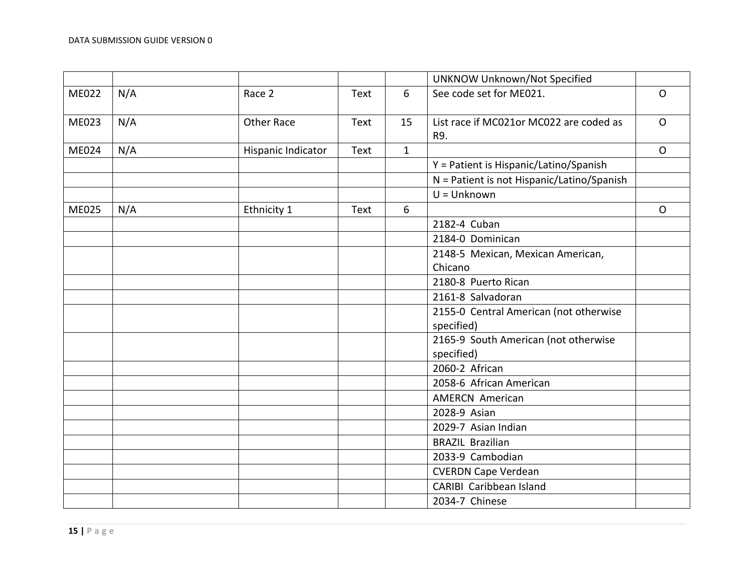|              |     |                    |      |              | <b>UNKNOW Unknown/Not Specified</b>            |              |
|--------------|-----|--------------------|------|--------------|------------------------------------------------|--------------|
| ME022        | N/A | Race 2             | Text | 6            | See code set for ME021.                        | $\mathsf{O}$ |
| ME023        | N/A | <b>Other Race</b>  | Text | 15           | List race if MC021or MC022 are coded as<br>R9. | $\mathsf{O}$ |
| <b>ME024</b> | N/A | Hispanic Indicator | Text | $\mathbf{1}$ |                                                | $\mathsf{O}$ |
|              |     |                    |      |              | Y = Patient is Hispanic/Latino/Spanish         |              |
|              |     |                    |      |              | N = Patient is not Hispanic/Latino/Spanish     |              |
|              |     |                    |      |              | $U =$ Unknown                                  |              |
| <b>ME025</b> | N/A | Ethnicity 1        | Text | 6            |                                                | $\mathsf{O}$ |
|              |     |                    |      |              | 2182-4 Cuban                                   |              |
|              |     |                    |      |              | 2184-0 Dominican                               |              |
|              |     |                    |      |              | 2148-5 Mexican, Mexican American,              |              |
|              |     |                    |      |              | Chicano                                        |              |
|              |     |                    |      |              | 2180-8 Puerto Rican                            |              |
|              |     |                    |      |              | 2161-8 Salvadoran                              |              |
|              |     |                    |      |              | 2155-0 Central American (not otherwise         |              |
|              |     |                    |      |              | specified)                                     |              |
|              |     |                    |      |              | 2165-9 South American (not otherwise           |              |
|              |     |                    |      |              | specified)                                     |              |
|              |     |                    |      |              | 2060-2 African                                 |              |
|              |     |                    |      |              | 2058-6 African American                        |              |
|              |     |                    |      |              | <b>AMERCN American</b>                         |              |
|              |     |                    |      |              | 2028-9 Asian                                   |              |
|              |     |                    |      |              | 2029-7 Asian Indian                            |              |
|              |     |                    |      |              | <b>BRAZIL Brazilian</b>                        |              |
|              |     |                    |      |              | 2033-9 Cambodian                               |              |
|              |     |                    |      |              | <b>CVERDN Cape Verdean</b>                     |              |
|              |     |                    |      |              | CARIBI Caribbean Island                        |              |
|              |     |                    |      |              | 2034-7 Chinese                                 |              |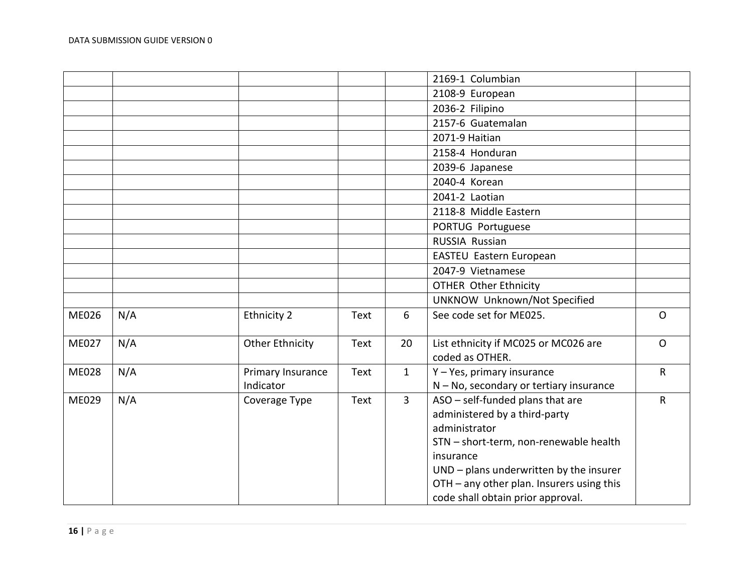|              |     |                                |             |                | 2169-1 Columbian                                                                                                                                                                                                                                                       |              |
|--------------|-----|--------------------------------|-------------|----------------|------------------------------------------------------------------------------------------------------------------------------------------------------------------------------------------------------------------------------------------------------------------------|--------------|
|              |     |                                |             |                | 2108-9 European                                                                                                                                                                                                                                                        |              |
|              |     |                                |             |                | 2036-2 Filipino                                                                                                                                                                                                                                                        |              |
|              |     |                                |             |                | 2157-6 Guatemalan                                                                                                                                                                                                                                                      |              |
|              |     |                                |             |                | 2071-9 Haitian                                                                                                                                                                                                                                                         |              |
|              |     |                                |             |                | 2158-4 Honduran                                                                                                                                                                                                                                                        |              |
|              |     |                                |             |                | 2039-6 Japanese                                                                                                                                                                                                                                                        |              |
|              |     |                                |             |                | 2040-4 Korean                                                                                                                                                                                                                                                          |              |
|              |     |                                |             |                | 2041-2 Laotian                                                                                                                                                                                                                                                         |              |
|              |     |                                |             |                | 2118-8 Middle Eastern                                                                                                                                                                                                                                                  |              |
|              |     |                                |             |                | PORTUG Portuguese                                                                                                                                                                                                                                                      |              |
|              |     |                                |             |                | <b>RUSSIA Russian</b>                                                                                                                                                                                                                                                  |              |
|              |     |                                |             |                | EASTEU Eastern European                                                                                                                                                                                                                                                |              |
|              |     |                                |             |                | 2047-9 Vietnamese                                                                                                                                                                                                                                                      |              |
|              |     |                                |             |                | <b>OTHER Other Ethnicity</b>                                                                                                                                                                                                                                           |              |
|              |     |                                |             |                | UNKNOW Unknown/Not Specified                                                                                                                                                                                                                                           |              |
| <b>ME026</b> | N/A | Ethnicity 2                    | Text        | 6              | See code set for ME025.                                                                                                                                                                                                                                                | $\mathsf{O}$ |
| <b>ME027</b> | N/A | <b>Other Ethnicity</b>         | <b>Text</b> | 20             | List ethnicity if MC025 or MC026 are<br>coded as OTHER.                                                                                                                                                                                                                | $\Omega$     |
| <b>ME028</b> | N/A | Primary Insurance<br>Indicator | <b>Text</b> | $\mathbf{1}$   | Y - Yes, primary insurance<br>N - No, secondary or tertiary insurance                                                                                                                                                                                                  | $\mathsf{R}$ |
| <b>ME029</b> | N/A | Coverage Type                  | Text        | $\overline{3}$ | ASO - self-funded plans that are<br>administered by a third-party<br>administrator<br>STN - short-term, non-renewable health<br>insurance<br>UND - plans underwritten by the insurer<br>OTH - any other plan. Insurers using this<br>code shall obtain prior approval. | $\mathsf{R}$ |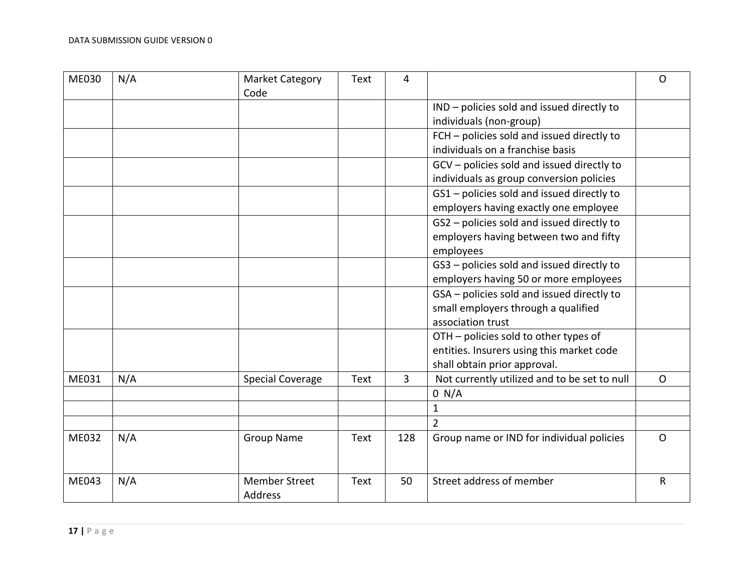| <b>ME030</b> | N/A | <b>Market Category</b><br>Code  | Text | 4   |                                              | O            |
|--------------|-----|---------------------------------|------|-----|----------------------------------------------|--------------|
|              |     |                                 |      |     | IND - policies sold and issued directly to   |              |
|              |     |                                 |      |     | individuals (non-group)                      |              |
|              |     |                                 |      |     | FCH - policies sold and issued directly to   |              |
|              |     |                                 |      |     | individuals on a franchise basis             |              |
|              |     |                                 |      |     | GCV - policies sold and issued directly to   |              |
|              |     |                                 |      |     | individuals as group conversion policies     |              |
|              |     |                                 |      |     | GS1 - policies sold and issued directly to   |              |
|              |     |                                 |      |     | employers having exactly one employee        |              |
|              |     |                                 |      |     | GS2 - policies sold and issued directly to   |              |
|              |     |                                 |      |     | employers having between two and fifty       |              |
|              |     |                                 |      |     | employees                                    |              |
|              |     |                                 |      |     | GS3 - policies sold and issued directly to   |              |
|              |     |                                 |      |     | employers having 50 or more employees        |              |
|              |     |                                 |      |     | GSA - policies sold and issued directly to   |              |
|              |     |                                 |      |     | small employers through a qualified          |              |
|              |     |                                 |      |     | association trust                            |              |
|              |     |                                 |      |     | OTH - policies sold to other types of        |              |
|              |     |                                 |      |     | entities. Insurers using this market code    |              |
|              |     |                                 |      |     | shall obtain prior approval.                 |              |
| ME031        | N/A | <b>Special Coverage</b>         | Text | 3   | Not currently utilized and to be set to null | $\mathsf{O}$ |
|              |     |                                 |      |     | 0 N/A                                        |              |
|              |     |                                 |      |     | $\mathbf{1}$                                 |              |
|              |     |                                 |      |     | $\overline{2}$                               |              |
| ME032        | N/A | <b>Group Name</b>               | Text | 128 | Group name or IND for individual policies    | $\mathsf{O}$ |
| ME043        | N/A | <b>Member Street</b><br>Address | Text | 50  | Street address of member                     | $\mathsf{R}$ |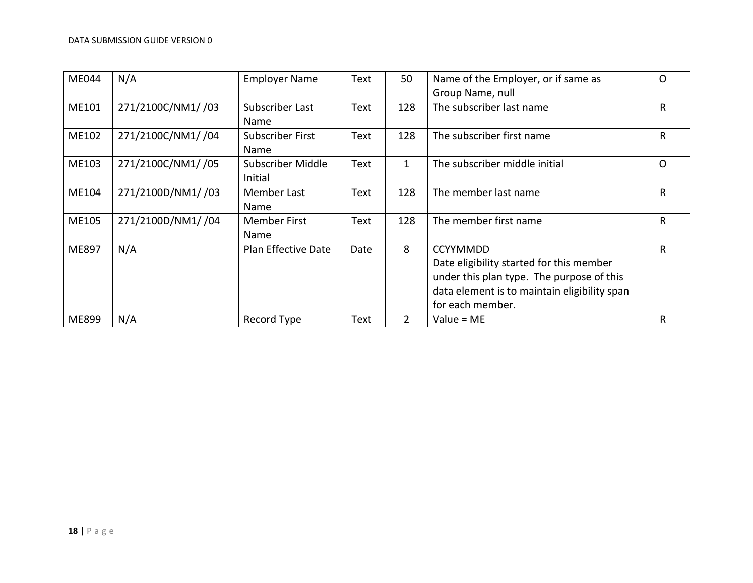| <b>ME044</b> | N/A               | <b>Employer Name</b> | Text | 50  | Name of the Employer, or if same as          | $\Omega$     |
|--------------|-------------------|----------------------|------|-----|----------------------------------------------|--------------|
|              |                   |                      |      |     | Group Name, null                             |              |
| ME101        | 271/2100C/NM1//03 | Subscriber Last      | Text | 128 | The subscriber last name                     | R            |
|              |                   | Name                 |      |     |                                              |              |
| ME102        | 271/2100C/NM1//04 | Subscriber First     | Text | 128 | The subscriber first name                    | $\mathsf{R}$ |
|              |                   | Name                 |      |     |                                              |              |
| ME103        | 271/2100C/NM1//05 | Subscriber Middle    | Text | 1   | The subscriber middle initial                | O            |
|              |                   | Initial              |      |     |                                              |              |
| ME104        | 271/2100D/NM1//03 | Member Last          | Text | 128 | The member last name                         | R            |
|              |                   | <b>Name</b>          |      |     |                                              |              |
| ME105        | 271/2100D/NM1//04 | <b>Member First</b>  | Text | 128 | The member first name                        | $\mathsf{R}$ |
|              |                   | Name                 |      |     |                                              |              |
| ME897        | N/A               | Plan Effective Date  | Date | 8   | <b>CCYYMMDD</b>                              | $\mathsf{R}$ |
|              |                   |                      |      |     | Date eligibility started for this member     |              |
|              |                   |                      |      |     | under this plan type. The purpose of this    |              |
|              |                   |                      |      |     | data element is to maintain eligibility span |              |
|              |                   |                      |      |     | for each member.                             |              |
| ME899        | N/A               | Record Type          | Text | 2   | Value = $ME$                                 | R            |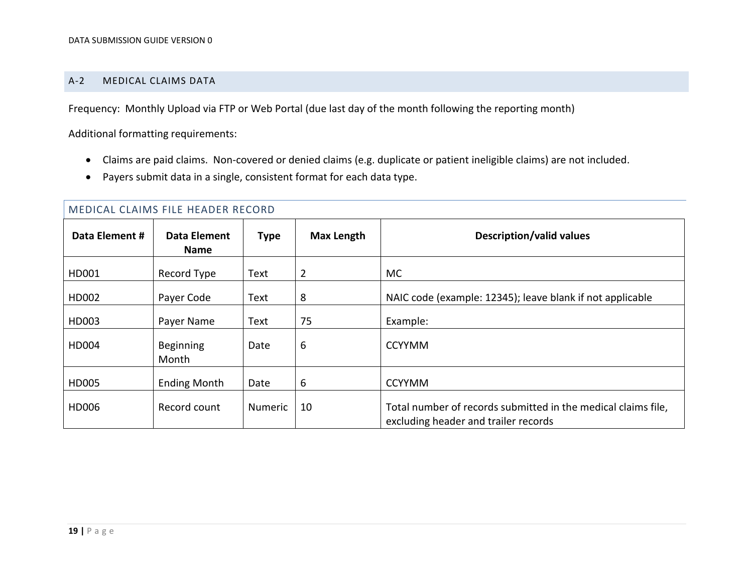#### A-2 MEDICAL CLAIMS DATA

Frequency: Monthly Upload via FTP or Web Portal (due last day of the month following the reporting month)

Additional formatting requirements:

- Claims are paid claims. Non-covered or denied claims (e.g. duplicate or patient ineligible claims) are not included.
- Payers submit data in a single, consistent format for each data type.

<span id="page-18-0"></span>

|                | MEDICAL CLAIMS FILE HEADER RECORD |                |                   |                                                                                                       |  |  |  |  |  |  |
|----------------|-----------------------------------|----------------|-------------------|-------------------------------------------------------------------------------------------------------|--|--|--|--|--|--|
| Data Element # | Data Element<br><b>Name</b>       | <b>Type</b>    | <b>Max Length</b> | <b>Description/valid values</b>                                                                       |  |  |  |  |  |  |
| HD001          | Record Type                       | Text           | 2                 | <b>MC</b>                                                                                             |  |  |  |  |  |  |
| HD002          | Payer Code                        | Text           | 8                 | NAIC code (example: 12345); leave blank if not applicable                                             |  |  |  |  |  |  |
| HD003          | Payer Name                        | Text           | 75                | Example:                                                                                              |  |  |  |  |  |  |
| HD004          | <b>Beginning</b><br>Month         | Date           | 6                 | <b>CCYYMM</b>                                                                                         |  |  |  |  |  |  |
| HD005          | <b>Ending Month</b>               | Date           | 6                 | <b>CCYYMM</b>                                                                                         |  |  |  |  |  |  |
| HD006          | Record count                      | <b>Numeric</b> | 10                | Total number of records submitted in the medical claims file,<br>excluding header and trailer records |  |  |  |  |  |  |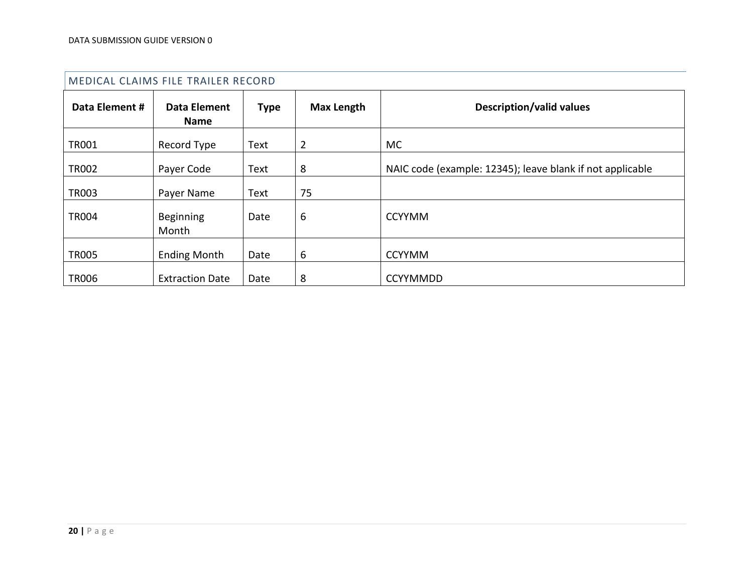|                | MEDICAL CLAIMS FILE TRAILER RECORD |             |                   |                                                           |
|----------------|------------------------------------|-------------|-------------------|-----------------------------------------------------------|
| Data Element # | <b>Data Element</b><br><b>Name</b> | <b>Type</b> | <b>Max Length</b> | <b>Description/valid values</b>                           |
| <b>TR001</b>   | Record Type                        | Text        | $\overline{2}$    | MC.                                                       |
| <b>TR002</b>   | Payer Code                         | Text        | 8                 | NAIC code (example: 12345); leave blank if not applicable |
| <b>TR003</b>   | Payer Name                         | Text        | 75                |                                                           |
| <b>TR004</b>   | <b>Beginning</b><br>Month          | Date        | 6                 | <b>CCYYMM</b>                                             |
| <b>TR005</b>   | <b>Ending Month</b>                | Date        | 6                 | <b>CCYYMM</b>                                             |
| <b>TR006</b>   | <b>Extraction Date</b>             | Date        | 8                 | <b>CCYYMMDD</b>                                           |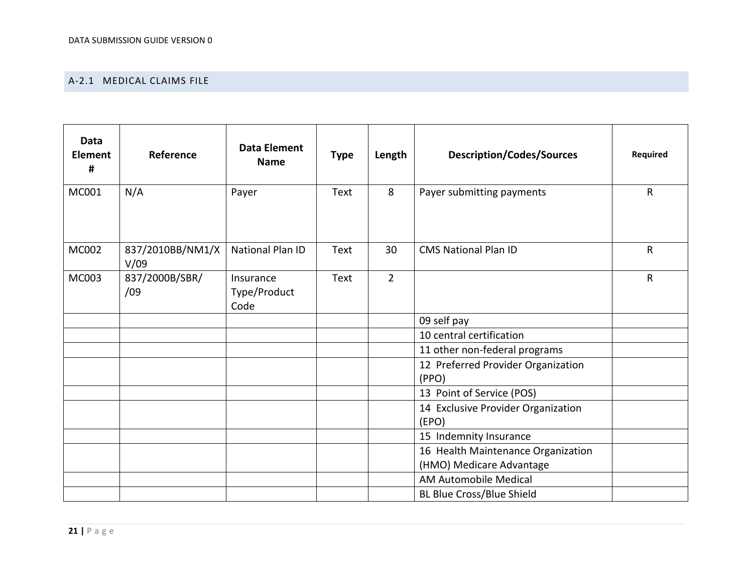### A-2.1 MEDICAL CLAIMS FILE

| <b>Data</b><br><b>Element</b><br># | Reference                | <b>Data Element</b><br><b>Name</b> | <b>Type</b> | Length         | <b>Description/Codes/Sources</b>                               | Required     |
|------------------------------------|--------------------------|------------------------------------|-------------|----------------|----------------------------------------------------------------|--------------|
| MC001                              | N/A                      | Payer                              | Text        | 8              | Payer submitting payments                                      | $\mathsf{R}$ |
| MC002                              | 837/2010BB/NM1/X<br>V/09 | National Plan ID                   | Text        | 30             | <b>CMS National Plan ID</b>                                    | $\mathsf R$  |
| MC003                              | 837/2000B/SBR/<br>/09    | Insurance<br>Type/Product<br>Code  | Text        | $\overline{2}$ |                                                                | $\mathsf R$  |
|                                    |                          |                                    |             |                | 09 self pay                                                    |              |
|                                    |                          |                                    |             |                | 10 central certification                                       |              |
|                                    |                          |                                    |             |                | 11 other non-federal programs                                  |              |
|                                    |                          |                                    |             |                | 12 Preferred Provider Organization<br>(PPO)                    |              |
|                                    |                          |                                    |             |                | 13 Point of Service (POS)                                      |              |
|                                    |                          |                                    |             |                | 14 Exclusive Provider Organization<br>(EPO)                    |              |
|                                    |                          |                                    |             |                | 15 Indemnity Insurance                                         |              |
|                                    |                          |                                    |             |                | 16 Health Maintenance Organization<br>(HMO) Medicare Advantage |              |
|                                    |                          |                                    |             |                | <b>AM Automobile Medical</b>                                   |              |
|                                    |                          |                                    |             |                | <b>BL Blue Cross/Blue Shield</b>                               |              |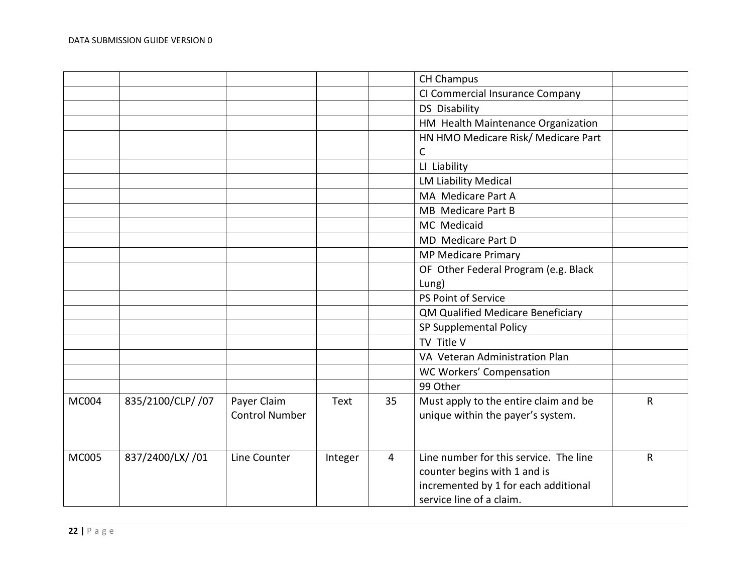|              |                   |                                      |         |    | <b>CH Champus</b>                                                                                                                          |             |
|--------------|-------------------|--------------------------------------|---------|----|--------------------------------------------------------------------------------------------------------------------------------------------|-------------|
|              |                   |                                      |         |    | CI Commercial Insurance Company                                                                                                            |             |
|              |                   |                                      |         |    | <b>DS Disability</b>                                                                                                                       |             |
|              |                   |                                      |         |    | HM Health Maintenance Organization                                                                                                         |             |
|              |                   |                                      |         |    | HN HMO Medicare Risk/ Medicare Part                                                                                                        |             |
|              |                   |                                      |         |    | C                                                                                                                                          |             |
|              |                   |                                      |         |    | LI Liability                                                                                                                               |             |
|              |                   |                                      |         |    | <b>LM Liability Medical</b>                                                                                                                |             |
|              |                   |                                      |         |    | MA Medicare Part A                                                                                                                         |             |
|              |                   |                                      |         |    | MB Medicare Part B                                                                                                                         |             |
|              |                   |                                      |         |    | MC Medicaid                                                                                                                                |             |
|              |                   |                                      |         |    | MD Medicare Part D                                                                                                                         |             |
|              |                   |                                      |         |    | <b>MP Medicare Primary</b>                                                                                                                 |             |
|              |                   |                                      |         |    | OF Other Federal Program (e.g. Black                                                                                                       |             |
|              |                   |                                      |         |    | Lung)                                                                                                                                      |             |
|              |                   |                                      |         |    | PS Point of Service                                                                                                                        |             |
|              |                   |                                      |         |    | QM Qualified Medicare Beneficiary                                                                                                          |             |
|              |                   |                                      |         |    | SP Supplemental Policy                                                                                                                     |             |
|              |                   |                                      |         |    | TV Title V                                                                                                                                 |             |
|              |                   |                                      |         |    | VA Veteran Administration Plan                                                                                                             |             |
|              |                   |                                      |         |    | WC Workers' Compensation                                                                                                                   |             |
|              |                   |                                      |         |    | 99 Other                                                                                                                                   |             |
| MC004        | 835/2100/CLP/ /07 | Payer Claim<br><b>Control Number</b> | Text    | 35 | Must apply to the entire claim and be<br>unique within the payer's system.                                                                 | $\mathsf R$ |
| <b>MC005</b> | 837/2400/LX/ /01  | Line Counter                         | Integer | 4  | Line number for this service. The line<br>counter begins with 1 and is<br>incremented by 1 for each additional<br>service line of a claim. | R           |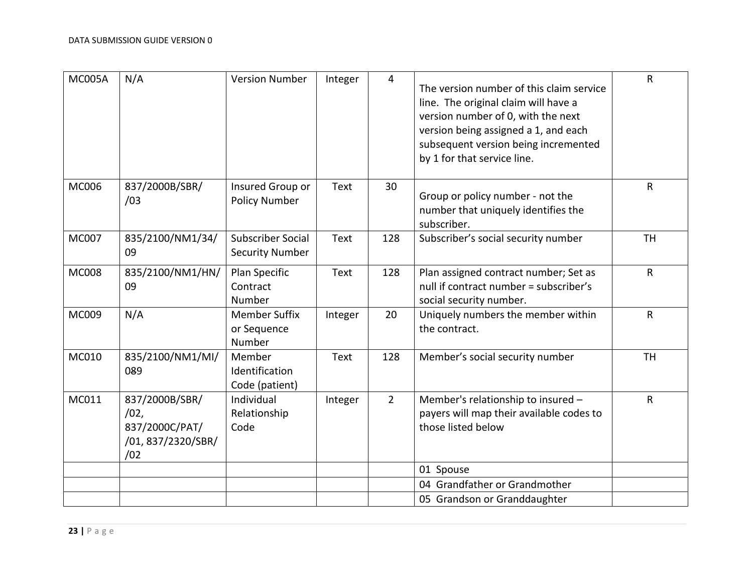| <b>MC005A</b> | N/A                                                                  | <b>Version Number</b>                              | Integer | $\overline{4}$ | The version number of this claim service<br>line. The original claim will have a<br>version number of 0, with the next<br>version being assigned a 1, and each<br>subsequent version being incremented<br>by 1 for that service line. | $\mathsf{R}$ |
|---------------|----------------------------------------------------------------------|----------------------------------------------------|---------|----------------|---------------------------------------------------------------------------------------------------------------------------------------------------------------------------------------------------------------------------------------|--------------|
| <b>MC006</b>  | 837/2000B/SBR/<br>/03                                                | Insured Group or<br><b>Policy Number</b>           | Text    | 30             | Group or policy number - not the<br>number that uniquely identifies the<br>subscriber.                                                                                                                                                | $\mathsf{R}$ |
| MC007         | 835/2100/NM1/34/<br>09                                               | <b>Subscriber Social</b><br><b>Security Number</b> | Text    | 128            | Subscriber's social security number                                                                                                                                                                                                   | <b>TH</b>    |
| <b>MC008</b>  | 835/2100/NM1/HN/<br>09                                               | Plan Specific<br>Contract<br>Number                | Text    | 128            | Plan assigned contract number; Set as<br>null if contract number = subscriber's<br>social security number.                                                                                                                            | $\mathsf{R}$ |
| MC009         | N/A                                                                  | <b>Member Suffix</b><br>or Sequence<br>Number      | Integer | 20             | Uniquely numbers the member within<br>the contract.                                                                                                                                                                                   | ${\sf R}$    |
| MC010         | 835/2100/NM1/MI/<br>089                                              | Member<br>Identification<br>Code (patient)         | Text    | 128            | Member's social security number                                                                                                                                                                                                       | <b>TH</b>    |
| MC011         | 837/2000B/SBR/<br>/02,<br>837/2000C/PAT/<br>/01,837/2320/SBR/<br>/02 | Individual<br>Relationship<br>Code                 | Integer | $\overline{2}$ | Member's relationship to insured -<br>payers will map their available codes to<br>those listed below                                                                                                                                  | $\mathsf{R}$ |
|               |                                                                      |                                                    |         |                | 01 Spouse                                                                                                                                                                                                                             |              |
|               |                                                                      |                                                    |         |                | 04 Grandfather or Grandmother                                                                                                                                                                                                         |              |
|               |                                                                      |                                                    |         |                | 05 Grandson or Granddaughter                                                                                                                                                                                                          |              |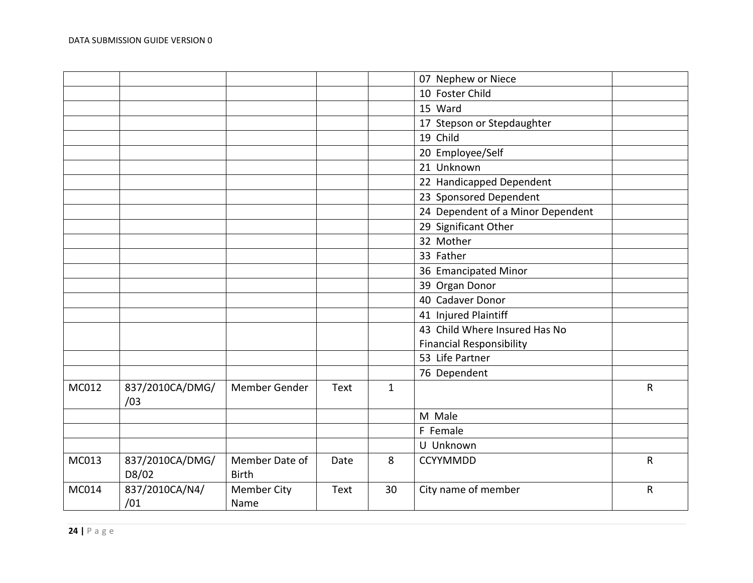|       |                          |                                |      |              | 07 Nephew or Niece                |   |
|-------|--------------------------|--------------------------------|------|--------------|-----------------------------------|---|
|       |                          |                                |      |              | 10 Foster Child                   |   |
|       |                          |                                |      |              | 15 Ward                           |   |
|       |                          |                                |      |              | 17 Stepson or Stepdaughter        |   |
|       |                          |                                |      |              | 19 Child                          |   |
|       |                          |                                |      |              | 20 Employee/Self                  |   |
|       |                          |                                |      |              | 21 Unknown                        |   |
|       |                          |                                |      |              | 22 Handicapped Dependent          |   |
|       |                          |                                |      |              | 23 Sponsored Dependent            |   |
|       |                          |                                |      |              | 24 Dependent of a Minor Dependent |   |
|       |                          |                                |      |              | 29 Significant Other              |   |
|       |                          |                                |      |              | 32 Mother                         |   |
|       |                          |                                |      |              | 33 Father                         |   |
|       |                          |                                |      |              | 36 Emancipated Minor              |   |
|       |                          |                                |      |              | 39 Organ Donor                    |   |
|       |                          |                                |      |              | 40 Cadaver Donor                  |   |
|       |                          |                                |      |              | 41 Injured Plaintiff              |   |
|       |                          |                                |      |              | 43 Child Where Insured Has No     |   |
|       |                          |                                |      |              | <b>Financial Responsibility</b>   |   |
|       |                          |                                |      |              | 53 Life Partner                   |   |
|       |                          |                                |      |              | 76 Dependent                      |   |
| MC012 | 837/2010CA/DMG/<br>/03   | Member Gender                  | Text | $\mathbf{1}$ |                                   | R |
|       |                          |                                |      |              | M Male                            |   |
|       |                          |                                |      |              | F Female                          |   |
|       |                          |                                |      |              | U Unknown                         |   |
| MC013 | 837/2010CA/DMG/<br>D8/02 | Member Date of<br><b>Birth</b> | Date | 8            | <b>CCYYMMDD</b>                   | R |
| MC014 | 837/2010CA/N4/<br>/01    | <b>Member City</b><br>Name     | Text | 30           | City name of member               | R |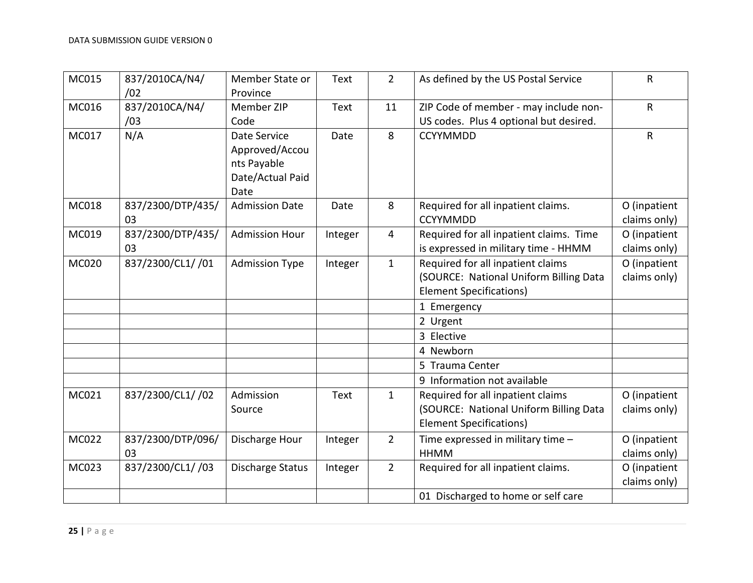| MC015        | 837/2010CA/N4/<br>/02   | Member State or<br>Province                                               | Text    | $\overline{2}$ | As defined by the US Postal Service                                                                           | $\mathsf R$                  |
|--------------|-------------------------|---------------------------------------------------------------------------|---------|----------------|---------------------------------------------------------------------------------------------------------------|------------------------------|
| MC016        | 837/2010CA/N4/<br>/03   | Member ZIP<br>Code                                                        | Text    | 11             | ZIP Code of member - may include non-<br>US codes. Plus 4 optional but desired.                               | R                            |
| MC017        | N/A                     | Date Service<br>Approved/Accou<br>nts Payable<br>Date/Actual Paid<br>Date | Date    | 8              | <b>CCYYMMDD</b>                                                                                               | $\mathsf R$                  |
| MC018        | 837/2300/DTP/435/<br>03 | <b>Admission Date</b>                                                     | Date    | 8              | Required for all inpatient claims.<br><b>CCYYMMDD</b>                                                         | O (inpatient<br>claims only) |
| MC019        | 837/2300/DTP/435/<br>03 | <b>Admission Hour</b>                                                     | Integer | 4              | Required for all inpatient claims. Time<br>is expressed in military time - HHMM                               | O (inpatient<br>claims only) |
| <b>MC020</b> | 837/2300/CL1/ /01       | <b>Admission Type</b>                                                     | Integer | $\mathbf{1}$   | Required for all inpatient claims<br>(SOURCE: National Uniform Billing Data<br><b>Element Specifications)</b> | O (inpatient<br>claims only) |
|              |                         |                                                                           |         |                | 1 Emergency                                                                                                   |                              |
|              |                         |                                                                           |         |                | 2 Urgent                                                                                                      |                              |
|              |                         |                                                                           |         |                | 3 Elective                                                                                                    |                              |
|              |                         |                                                                           |         |                | 4 Newborn                                                                                                     |                              |
|              |                         |                                                                           |         |                | 5 Trauma Center                                                                                               |                              |
|              |                         |                                                                           |         |                | 9 Information not available                                                                                   |                              |
| MC021        | 837/2300/CL1/ /02       | Admission<br>Source                                                       | Text    | $\mathbf{1}$   | Required for all inpatient claims<br>(SOURCE: National Uniform Billing Data<br><b>Element Specifications)</b> | O (inpatient<br>claims only) |
| <b>MC022</b> | 837/2300/DTP/096/<br>03 | Discharge Hour                                                            | Integer | $2^{\circ}$    | Time expressed in military time -<br><b>HHMM</b>                                                              | O (inpatient<br>claims only) |
| MC023        | 837/2300/CL1/ /03       | Discharge Status                                                          | Integer | $2^{\circ}$    | Required for all inpatient claims.                                                                            | O (inpatient<br>claims only) |
|              |                         |                                                                           |         |                | 01 Discharged to home or self care                                                                            |                              |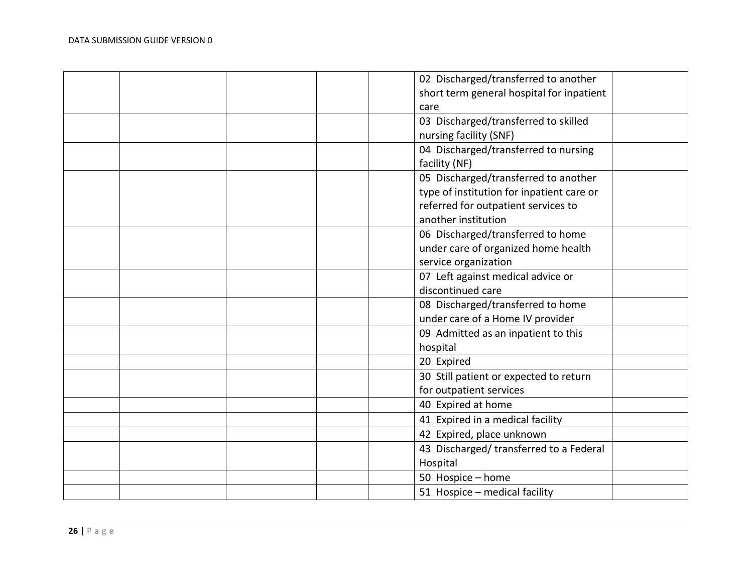|  |  | 02 Discharged/transferred to another      |  |
|--|--|-------------------------------------------|--|
|  |  | short term general hospital for inpatient |  |
|  |  | care                                      |  |
|  |  | 03 Discharged/transferred to skilled      |  |
|  |  | nursing facility (SNF)                    |  |
|  |  | 04 Discharged/transferred to nursing      |  |
|  |  | facility (NF)                             |  |
|  |  | 05 Discharged/transferred to another      |  |
|  |  | type of institution for inpatient care or |  |
|  |  | referred for outpatient services to       |  |
|  |  | another institution                       |  |
|  |  | 06 Discharged/transferred to home         |  |
|  |  | under care of organized home health       |  |
|  |  | service organization                      |  |
|  |  | 07 Left against medical advice or         |  |
|  |  | discontinued care                         |  |
|  |  | 08 Discharged/transferred to home         |  |
|  |  | under care of a Home IV provider          |  |
|  |  | 09 Admitted as an inpatient to this       |  |
|  |  | hospital                                  |  |
|  |  | 20 Expired                                |  |
|  |  | 30 Still patient or expected to return    |  |
|  |  | for outpatient services                   |  |
|  |  | 40 Expired at home                        |  |
|  |  | 41 Expired in a medical facility          |  |
|  |  | 42 Expired, place unknown                 |  |
|  |  | 43 Discharged/transferred to a Federal    |  |
|  |  | Hospital                                  |  |
|  |  | 50 Hospice - home                         |  |
|  |  | 51 Hospice - medical facility             |  |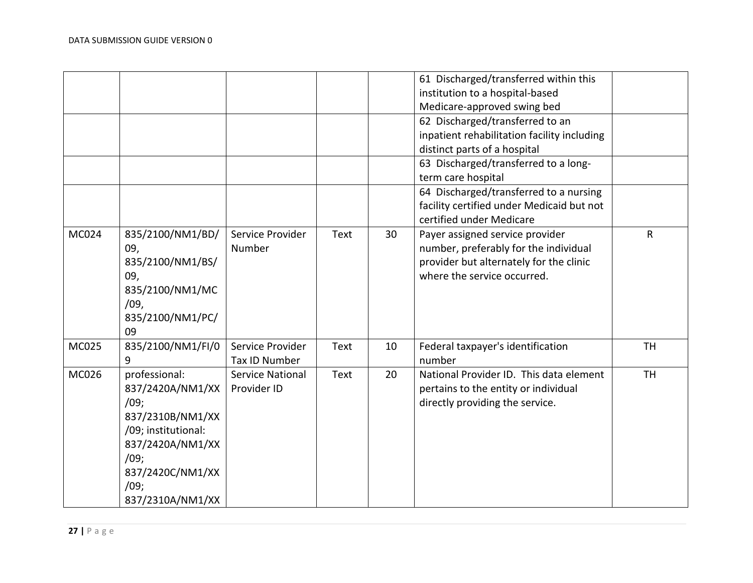|       |                                                                                                                                                                  |                                        |      |    | 61 Discharged/transferred within this<br>institution to a hospital-based<br>Medicare-approved swing bed<br>62 Discharged/transferred to an<br>inpatient rehabilitation facility including<br>distinct parts of a hospital<br>63 Discharged/transferred to a long-<br>term care hospital<br>64 Discharged/transferred to a nursing |           |
|-------|------------------------------------------------------------------------------------------------------------------------------------------------------------------|----------------------------------------|------|----|-----------------------------------------------------------------------------------------------------------------------------------------------------------------------------------------------------------------------------------------------------------------------------------------------------------------------------------|-----------|
|       |                                                                                                                                                                  |                                        |      |    | facility certified under Medicaid but not<br>certified under Medicare                                                                                                                                                                                                                                                             |           |
| MC024 | 835/2100/NM1/BD/<br>09,<br>835/2100/NM1/BS/<br>09,<br>835/2100/NM1/MC<br>/09,<br>835/2100/NM1/PC/<br>09                                                          | Service Provider<br>Number             | Text | 30 | Payer assigned service provider<br>number, preferably for the individual<br>provider but alternately for the clinic<br>where the service occurred.                                                                                                                                                                                | R         |
| MC025 | 835/2100/NM1/FI/0<br>9                                                                                                                                           | Service Provider<br>Tax ID Number      | Text | 10 | Federal taxpayer's identification<br>number                                                                                                                                                                                                                                                                                       | <b>TH</b> |
| MC026 | professional:<br>837/2420A/NM1/XX<br>/09;<br>837/2310B/NM1/XX<br>/09; institutional:<br>837/2420A/NM1/XX<br>/09;<br>837/2420C/NM1/XX<br>/09;<br>837/2310A/NM1/XX | <b>Service National</b><br>Provider ID | Text | 20 | National Provider ID. This data element<br>pertains to the entity or individual<br>directly providing the service.                                                                                                                                                                                                                | <b>TH</b> |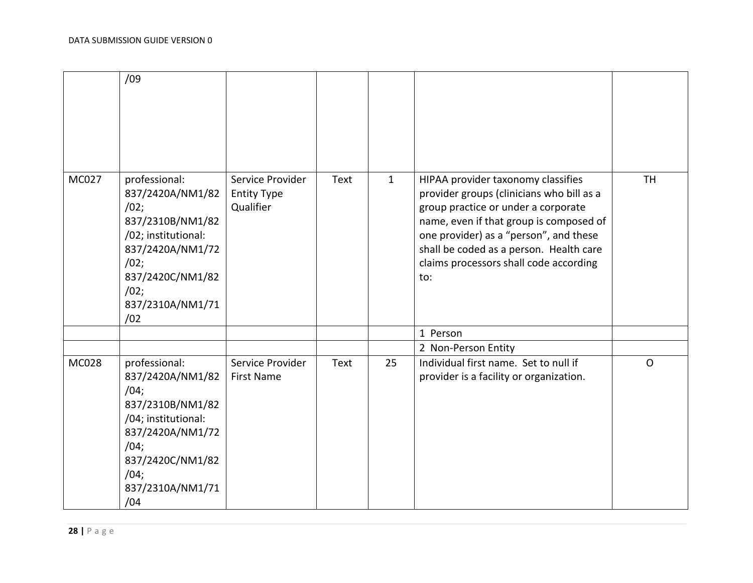|              | /09                                                                                                                                                                     |                                                     |             |              |                                                                                                                                                                                                                                                                                                         |              |
|--------------|-------------------------------------------------------------------------------------------------------------------------------------------------------------------------|-----------------------------------------------------|-------------|--------------|---------------------------------------------------------------------------------------------------------------------------------------------------------------------------------------------------------------------------------------------------------------------------------------------------------|--------------|
| <b>MC027</b> | professional:<br>837/2420A/NM1/82<br>/02;<br>837/2310B/NM1/82<br>/02; institutional:<br>837/2420A/NM1/72<br>/02;<br>837/2420C/NM1/82<br>/02;<br>837/2310A/NM1/71<br>/02 | Service Provider<br><b>Entity Type</b><br>Qualifier | Text        | $\mathbf{1}$ | HIPAA provider taxonomy classifies<br>provider groups (clinicians who bill as a<br>group practice or under a corporate<br>name, even if that group is composed of<br>one provider) as a "person", and these<br>shall be coded as a person. Health care<br>claims processors shall code according<br>to: | <b>TH</b>    |
|              |                                                                                                                                                                         |                                                     |             |              | 1 Person                                                                                                                                                                                                                                                                                                |              |
|              |                                                                                                                                                                         |                                                     |             |              | 2 Non-Person Entity                                                                                                                                                                                                                                                                                     |              |
| <b>MC028</b> | professional:<br>837/2420A/NM1/82<br>/04;<br>837/2310B/NM1/82<br>/04; institutional:<br>837/2420A/NM1/72<br>/04;<br>837/2420C/NM1/82<br>/04;<br>837/2310A/NM1/71<br>/04 | Service Provider<br><b>First Name</b>               | <b>Text</b> | 25           | Individual first name. Set to null if<br>provider is a facility or organization.                                                                                                                                                                                                                        | $\mathsf{O}$ |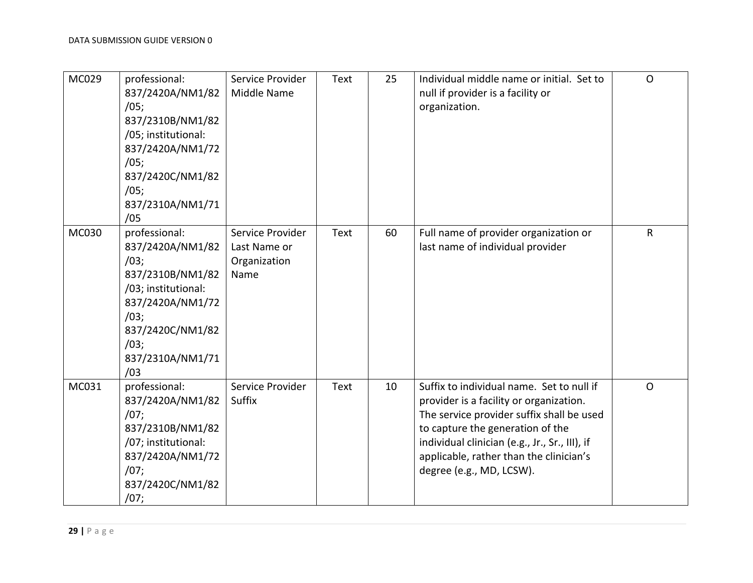| MC029 | professional:<br>837/2420A/NM1/82<br>/05;<br>837/2310B/NM1/82<br>/05; institutional:<br>837/2420A/NM1/72<br>/05;<br>837/2420C/NM1/82<br>/05;<br>837/2310A/NM1/71<br>/05 | Service Provider<br>Middle Name                          | Text | 25 | Individual middle name or initial. Set to<br>null if provider is a facility or<br>organization.                                                                                                                                                                                                | $\Omega$     |
|-------|-------------------------------------------------------------------------------------------------------------------------------------------------------------------------|----------------------------------------------------------|------|----|------------------------------------------------------------------------------------------------------------------------------------------------------------------------------------------------------------------------------------------------------------------------------------------------|--------------|
| MC030 | professional:<br>837/2420A/NM1/82<br>/03;<br>837/2310B/NM1/82<br>/03; institutional:<br>837/2420A/NM1/72<br>/03;<br>837/2420C/NM1/82<br>/03;<br>837/2310A/NM1/71<br>/03 | Service Provider<br>Last Name or<br>Organization<br>Name | Text | 60 | Full name of provider organization or<br>last name of individual provider                                                                                                                                                                                                                      | $\mathsf{R}$ |
| MC031 | professional:<br>837/2420A/NM1/82<br>/07;<br>837/2310B/NM1/82<br>/07; institutional:<br>837/2420A/NM1/72<br>/07;<br>837/2420C/NM1/82<br>/07;                            | Service Provider<br>Suffix                               | Text | 10 | Suffix to individual name. Set to null if<br>provider is a facility or organization.<br>The service provider suffix shall be used<br>to capture the generation of the<br>individual clinician (e.g., Jr., Sr., III), if<br>applicable, rather than the clinician's<br>degree (e.g., MD, LCSW). | $\Omega$     |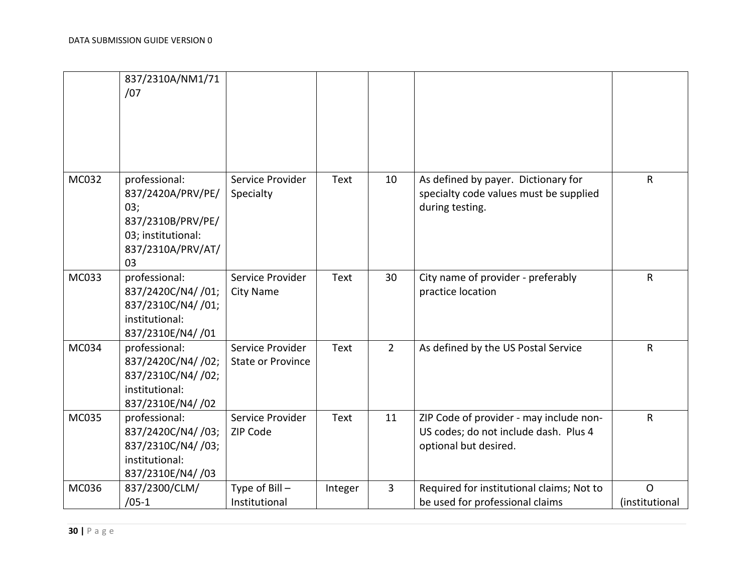|       | 837/2310A/NM1/71<br>/07                                                                                         |                                              |         |                |                                                                                                           |                                |
|-------|-----------------------------------------------------------------------------------------------------------------|----------------------------------------------|---------|----------------|-----------------------------------------------------------------------------------------------------------|--------------------------------|
| MC032 | professional:<br>837/2420A/PRV/PE/<br>03;<br>837/2310B/PRV/PE/<br>03; institutional:<br>837/2310A/PRV/AT/<br>03 | Service Provider<br>Specialty                | Text    | 10             | As defined by payer. Dictionary for<br>specialty code values must be supplied<br>during testing.          | $\mathsf{R}$                   |
| MC033 | professional:<br>837/2420C/N4/ /01;<br>837/2310C/N4/ /01;<br>institutional:<br>837/2310E/N4/ /01                | Service Provider<br><b>City Name</b>         | Text    | 30             | City name of provider - preferably<br>practice location                                                   | $\mathsf{R}$                   |
| MC034 | professional:<br>837/2420C/N4/ /02;<br>837/2310C/N4/ /02;<br>institutional:<br>837/2310E/N4/ /02                | Service Provider<br><b>State or Province</b> | Text    | $\overline{2}$ | As defined by the US Postal Service                                                                       | $\mathsf{R}$                   |
| MC035 | professional:<br>837/2420C/N4/ /03;<br>837/2310C/N4/ /03;<br>institutional:<br>837/2310E/N4/ /03                | Service Provider<br>ZIP Code                 | Text    | 11             | ZIP Code of provider - may include non-<br>US codes; do not include dash. Plus 4<br>optional but desired. | $\mathsf{R}$                   |
| MC036 | 837/2300/CLM/<br>$/05-1$                                                                                        | Type of Bill -<br>Institutional              | Integer | $\overline{3}$ | Required for institutional claims; Not to<br>be used for professional claims                              | $\mathsf{O}$<br>(institutional |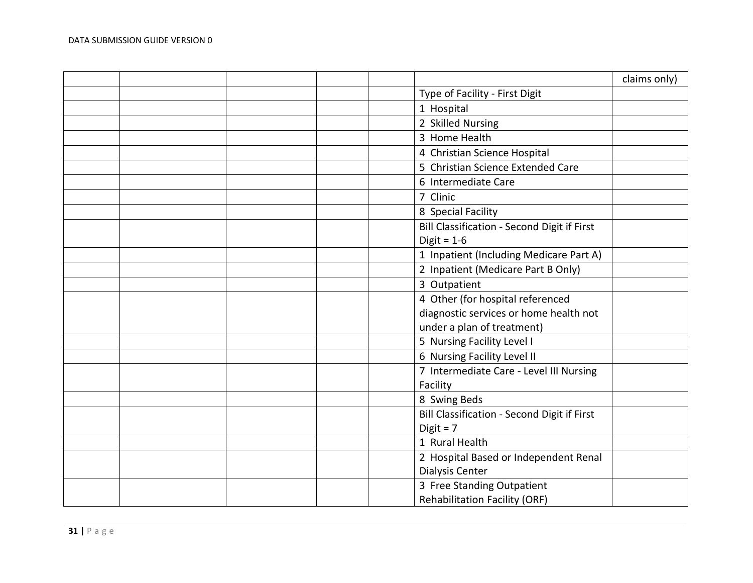|  |  |                                             | claims only) |
|--|--|---------------------------------------------|--------------|
|  |  | Type of Facility - First Digit              |              |
|  |  | 1 Hospital                                  |              |
|  |  | 2 Skilled Nursing                           |              |
|  |  | 3 Home Health                               |              |
|  |  | 4 Christian Science Hospital                |              |
|  |  | 5 Christian Science Extended Care           |              |
|  |  | 6 Intermediate Care                         |              |
|  |  | 7 Clinic                                    |              |
|  |  | 8 Special Facility                          |              |
|  |  | Bill Classification - Second Digit if First |              |
|  |  | Digit = $1-6$                               |              |
|  |  | 1 Inpatient (Including Medicare Part A)     |              |
|  |  | 2 Inpatient (Medicare Part B Only)          |              |
|  |  | 3 Outpatient                                |              |
|  |  | 4 Other (for hospital referenced            |              |
|  |  | diagnostic services or home health not      |              |
|  |  | under a plan of treatment)                  |              |
|  |  | 5 Nursing Facility Level I                  |              |
|  |  | 6 Nursing Facility Level II                 |              |
|  |  | 7 Intermediate Care - Level III Nursing     |              |
|  |  | Facility                                    |              |
|  |  | 8 Swing Beds                                |              |
|  |  | Bill Classification - Second Digit if First |              |
|  |  | $Digit = 7$                                 |              |
|  |  | 1 Rural Health                              |              |
|  |  | 2 Hospital Based or Independent Renal       |              |
|  |  | Dialysis Center                             |              |
|  |  | 3 Free Standing Outpatient                  |              |
|  |  | <b>Rehabilitation Facility (ORF)</b>        |              |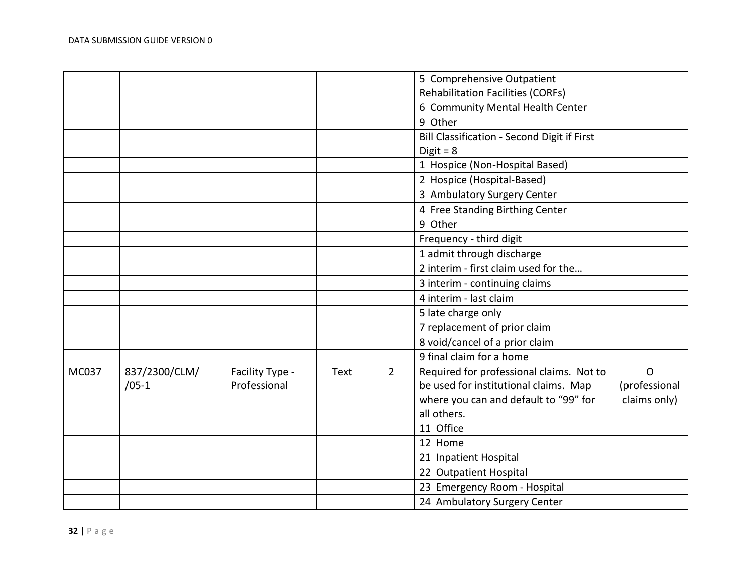|       |               |                 |      |             | 5 Comprehensive Outpatient                  |               |
|-------|---------------|-----------------|------|-------------|---------------------------------------------|---------------|
|       |               |                 |      |             | <b>Rehabilitation Facilities (CORFs)</b>    |               |
|       |               |                 |      |             | 6 Community Mental Health Center            |               |
|       |               |                 |      |             | 9 Other                                     |               |
|       |               |                 |      |             | Bill Classification - Second Digit if First |               |
|       |               |                 |      |             | Digit = $8$                                 |               |
|       |               |                 |      |             | 1 Hospice (Non-Hospital Based)              |               |
|       |               |                 |      |             | 2 Hospice (Hospital-Based)                  |               |
|       |               |                 |      |             | 3 Ambulatory Surgery Center                 |               |
|       |               |                 |      |             | 4 Free Standing Birthing Center             |               |
|       |               |                 |      |             | 9 Other                                     |               |
|       |               |                 |      |             | Frequency - third digit                     |               |
|       |               |                 |      |             | 1 admit through discharge                   |               |
|       |               |                 |      |             | 2 interim - first claim used for the        |               |
|       |               |                 |      |             | 3 interim - continuing claims               |               |
|       |               |                 |      |             | 4 interim - last claim                      |               |
|       |               |                 |      |             | 5 late charge only                          |               |
|       |               |                 |      |             | 7 replacement of prior claim                |               |
|       |               |                 |      |             | 8 void/cancel of a prior claim              |               |
|       |               |                 |      |             | 9 final claim for a home                    |               |
| MC037 | 837/2300/CLM/ | Facility Type - | Text | $2^{\circ}$ | Required for professional claims. Not to    | $\Omega$      |
|       | $/05-1$       | Professional    |      |             | be used for institutional claims. Map       | (professional |
|       |               |                 |      |             | where you can and default to "99" for       | claims only)  |
|       |               |                 |      |             | all others.                                 |               |
|       |               |                 |      |             | 11 Office                                   |               |
|       |               |                 |      |             | 12 Home                                     |               |
|       |               |                 |      |             | 21 Inpatient Hospital                       |               |
|       |               |                 |      |             | 22 Outpatient Hospital                      |               |
|       |               |                 |      |             | 23 Emergency Room - Hospital                |               |
|       |               |                 |      |             | 24 Ambulatory Surgery Center                |               |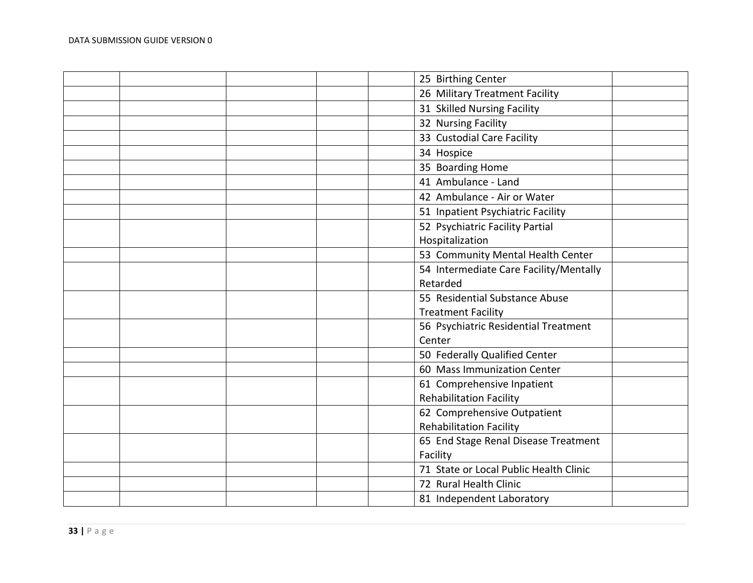|  |  | 25 Birthing Center                     |  |
|--|--|----------------------------------------|--|
|  |  | 26 Military Treatment Facility         |  |
|  |  | 31 Skilled Nursing Facility            |  |
|  |  | 32 Nursing Facility                    |  |
|  |  | 33 Custodial Care Facility             |  |
|  |  | 34 Hospice                             |  |
|  |  | 35 Boarding Home                       |  |
|  |  | 41 Ambulance - Land                    |  |
|  |  | 42 Ambulance - Air or Water            |  |
|  |  | 51 Inpatient Psychiatric Facility      |  |
|  |  | 52 Psychiatric Facility Partial        |  |
|  |  | Hospitalization                        |  |
|  |  | 53 Community Mental Health Center      |  |
|  |  | 54 Intermediate Care Facility/Mentally |  |
|  |  | Retarded                               |  |
|  |  | 55 Residential Substance Abuse         |  |
|  |  | <b>Treatment Facility</b>              |  |
|  |  | 56 Psychiatric Residential Treatment   |  |
|  |  | Center                                 |  |
|  |  | 50 Federally Qualified Center          |  |
|  |  | 60 Mass Immunization Center            |  |
|  |  | 61 Comprehensive Inpatient             |  |
|  |  | <b>Rehabilitation Facility</b>         |  |
|  |  | 62 Comprehensive Outpatient            |  |
|  |  | <b>Rehabilitation Facility</b>         |  |
|  |  | 65 End Stage Renal Disease Treatment   |  |
|  |  | Facility                               |  |
|  |  | 71 State or Local Public Health Clinic |  |
|  |  | 72 Rural Health Clinic                 |  |
|  |  | 81 Independent Laboratory              |  |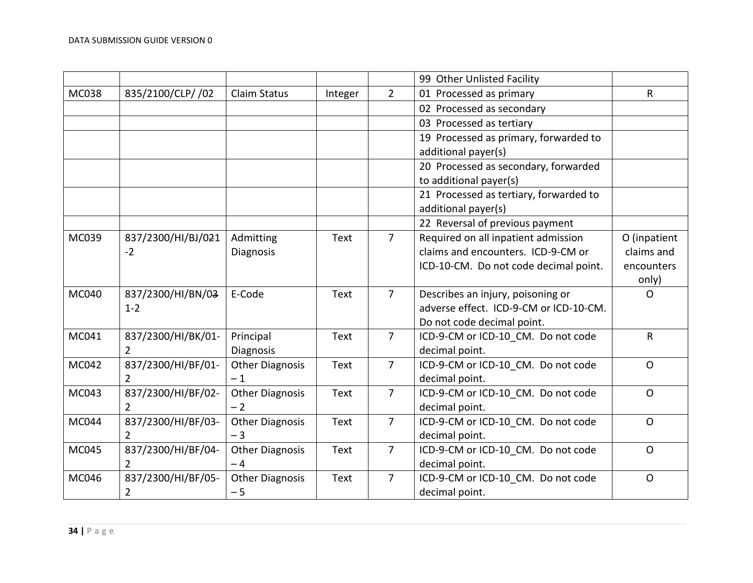|       |                    |                        |             |                | 99 Other Unlisted Facility             |              |
|-------|--------------------|------------------------|-------------|----------------|----------------------------------------|--------------|
| MC038 | 835/2100/CLP/ /02  | <b>Claim Status</b>    | Integer     | $\overline{2}$ | 01 Processed as primary                | R            |
|       |                    |                        |             |                | 02 Processed as secondary              |              |
|       |                    |                        |             |                | 03 Processed as tertiary               |              |
|       |                    |                        |             |                | 19 Processed as primary, forwarded to  |              |
|       |                    |                        |             |                | additional payer(s)                    |              |
|       |                    |                        |             |                | 20 Processed as secondary, forwarded   |              |
|       |                    |                        |             |                | to additional payer(s)                 |              |
|       |                    |                        |             |                | 21 Processed as tertiary, forwarded to |              |
|       |                    |                        |             |                | additional payer(s)                    |              |
|       |                    |                        |             |                | 22 Reversal of previous payment        |              |
| MC039 | 837/2300/HI/BJ/021 | Admitting              | Text        | $\overline{7}$ | Required on all inpatient admission    | O (inpatient |
|       | $-2$               | Diagnosis              |             |                | claims and encounters. ICD-9-CM or     | claims and   |
|       |                    |                        |             |                | ICD-10-CM. Do not code decimal point.  | encounters   |
|       |                    |                        |             |                |                                        | only)        |
| MC040 | 837/2300/HI/BN/03  | E-Code                 | Text        | $\overline{7}$ | Describes an injury, poisoning or      | $\mathsf{O}$ |
|       | $1 - 2$            |                        |             |                | adverse effect. ICD-9-CM or ICD-10-CM. |              |
|       |                    |                        |             |                | Do not code decimal point.             |              |
| MC041 | 837/2300/HI/BK/01- | Principal              | <b>Text</b> | $\overline{7}$ | ICD-9-CM or ICD-10 CM. Do not code     | R            |
|       | $\overline{2}$     | Diagnosis              |             |                | decimal point.                         |              |
| MC042 | 837/2300/HI/BF/01- | <b>Other Diagnosis</b> | <b>Text</b> | $\overline{7}$ | ICD-9-CM or ICD-10 CM. Do not code     | $\mathsf{O}$ |
|       | $\overline{2}$     | $-1$                   |             |                | decimal point.                         |              |
| MC043 | 837/2300/HI/BF/02- | <b>Other Diagnosis</b> | Text        | $\overline{7}$ | ICD-9-CM or ICD-10_CM. Do not code     | $\mathsf{O}$ |
|       | $\overline{2}$     | $-2$                   |             |                | decimal point.                         |              |
| MC044 | 837/2300/HI/BF/03- | <b>Other Diagnosis</b> | Text        | $\overline{7}$ | ICD-9-CM or ICD-10 CM. Do not code     | $\Omega$     |
|       | $\overline{2}$     | $-3$                   |             |                | decimal point.                         |              |
| MC045 | 837/2300/HI/BF/04- | <b>Other Diagnosis</b> | Text        | $\overline{7}$ | ICD-9-CM or ICD-10_CM. Do not code     | $\mathsf{O}$ |
|       | $\overline{2}$     | $-4$                   |             |                | decimal point.                         |              |
| MC046 | 837/2300/HI/BF/05- | <b>Other Diagnosis</b> | Text        | $\overline{7}$ | ICD-9-CM or ICD-10 CM. Do not code     | $\mathsf{O}$ |
|       | $\overline{2}$     | $-5$                   |             |                | decimal point.                         |              |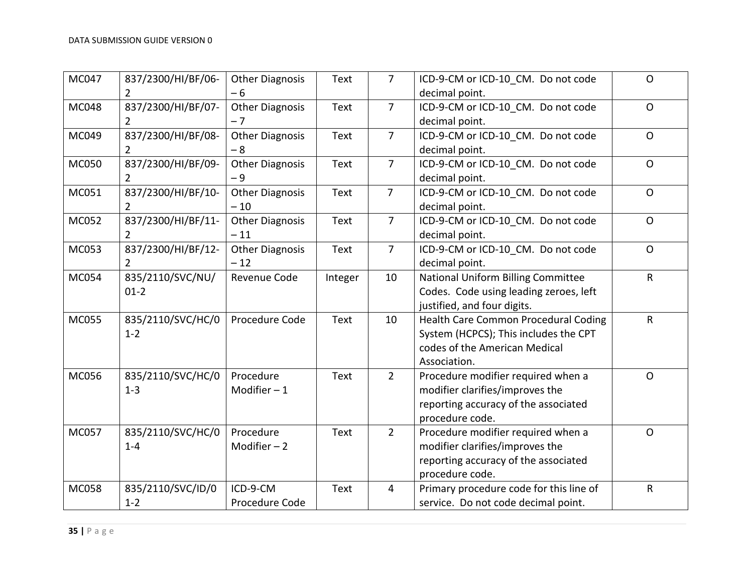| MC047        | 837/2300/HI/BF/06-<br>2              | <b>Other Diagnosis</b><br>$-6$  | Text        | $\overline{7}$ | ICD-9-CM or ICD-10 CM. Do not code<br>decimal point.                                                                             | $\mathsf{O}$ |
|--------------|--------------------------------------|---------------------------------|-------------|----------------|----------------------------------------------------------------------------------------------------------------------------------|--------------|
| <b>MC048</b> | 837/2300/HI/BF/07-<br>$\overline{2}$ | <b>Other Diagnosis</b><br>$-7$  | <b>Text</b> | $\overline{7}$ | ICD-9-CM or ICD-10 CM. Do not code<br>decimal point.                                                                             | $\mathsf{O}$ |
| MC049        | 837/2300/HI/BF/08-<br>$\overline{2}$ | <b>Other Diagnosis</b><br>$-8$  | Text        | $\overline{7}$ | ICD-9-CM or ICD-10 CM. Do not code<br>decimal point.                                                                             | $\mathsf O$  |
| MC050        | 837/2300/HI/BF/09-<br>$\overline{2}$ | <b>Other Diagnosis</b><br>$-9$  | Text        | $\overline{7}$ | ICD-9-CM or ICD-10 CM. Do not code<br>decimal point.                                                                             | $\mathsf{O}$ |
| MC051        | 837/2300/HI/BF/10-<br>2              | <b>Other Diagnosis</b><br>$-10$ | Text        | $\overline{7}$ | ICD-9-CM or ICD-10 CM. Do not code<br>decimal point.                                                                             | $\mathsf{O}$ |
| <b>MC052</b> | 837/2300/HI/BF/11-<br>2              | <b>Other Diagnosis</b><br>$-11$ | Text        | $\overline{7}$ | ICD-9-CM or ICD-10 CM. Do not code<br>decimal point.                                                                             | $\mathsf{O}$ |
| MC053        | 837/2300/HI/BF/12-<br>$\overline{2}$ | <b>Other Diagnosis</b><br>$-12$ | Text        | $\overline{7}$ | ICD-9-CM or ICD-10 CM. Do not code<br>decimal point.                                                                             | $\mathsf{O}$ |
| <b>MC054</b> | 835/2110/SVC/NU/<br>$01 - 2$         | Revenue Code                    | Integer     | 10             | National Uniform Billing Committee<br>Codes. Code using leading zeroes, left<br>justified, and four digits.                      | $\mathsf{R}$ |
| <b>MC055</b> | 835/2110/SVC/HC/0<br>$1 - 2$         | Procedure Code                  | Text        | 10             | Health Care Common Procedural Coding<br>System (HCPCS); This includes the CPT<br>codes of the American Medical<br>Association.   | $\mathsf{R}$ |
| MC056        | 835/2110/SVC/HC/0<br>$1 - 3$         | Procedure<br>Modifier $-1$      | Text        | $2^{1}$        | Procedure modifier required when a<br>modifier clarifies/improves the<br>reporting accuracy of the associated<br>procedure code. | $\mathsf{O}$ |
| MC057        | 835/2110/SVC/HC/0<br>$1 - 4$         | Procedure<br>Modifier $-2$      | Text        | $2^{\circ}$    | Procedure modifier required when a<br>modifier clarifies/improves the<br>reporting accuracy of the associated<br>procedure code. | $\mathsf{O}$ |
| <b>MC058</b> | 835/2110/SVC/ID/0<br>$1 - 2$         | ICD-9-CM<br>Procedure Code      | Text        | 4              | Primary procedure code for this line of<br>service. Do not code decimal point.                                                   | $\mathsf{R}$ |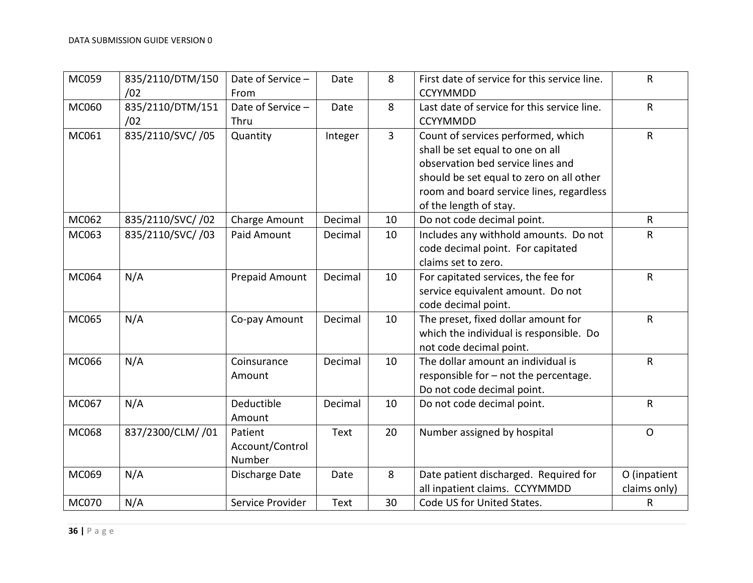| MC059        | 835/2110/DTM/150<br>/02 | Date of Service -<br>From            | Date    | 8              | First date of service for this service line.<br><b>CCYYMMDD</b>                                                                                                                                                               | $\sf R$                      |
|--------------|-------------------------|--------------------------------------|---------|----------------|-------------------------------------------------------------------------------------------------------------------------------------------------------------------------------------------------------------------------------|------------------------------|
| MC060        | 835/2110/DTM/151<br>/02 | Date of Service -<br>Thru            | Date    | 8              | Last date of service for this service line.<br><b>CCYYMMDD</b>                                                                                                                                                                | R                            |
| MC061        | 835/2110/SVC//05        | Quantity                             | Integer | $\overline{3}$ | Count of services performed, which<br>shall be set equal to one on all<br>observation bed service lines and<br>should be set equal to zero on all other<br>room and board service lines, regardless<br>of the length of stay. | $\mathsf{R}$                 |
| MC062        | 835/2110/SVC//02        | Charge Amount                        | Decimal | 10             | Do not code decimal point.                                                                                                                                                                                                    | R                            |
| MC063        | 835/2110/SVC//03        | Paid Amount                          | Decimal | 10             | Includes any withhold amounts. Do not<br>code decimal point. For capitated<br>claims set to zero.                                                                                                                             | R                            |
| MC064        | N/A                     | Prepaid Amount                       | Decimal | 10             | For capitated services, the fee for<br>service equivalent amount. Do not<br>code decimal point.                                                                                                                               | $\sf R$                      |
| MC065        | N/A                     | Co-pay Amount                        | Decimal | 10             | The preset, fixed dollar amount for<br>which the individual is responsible. Do<br>not code decimal point.                                                                                                                     | $\mathsf R$                  |
| MC066        | N/A                     | Coinsurance<br>Amount                | Decimal | 10             | The dollar amount an individual is<br>responsible for - not the percentage.<br>Do not code decimal point.                                                                                                                     | $\mathsf{R}$                 |
| MC067        | N/A                     | Deductible<br>Amount                 | Decimal | 10             | Do not code decimal point.                                                                                                                                                                                                    | R                            |
| MC068        | 837/2300/CLM/ /01       | Patient<br>Account/Control<br>Number | Text    | 20             | Number assigned by hospital                                                                                                                                                                                                   | $\mathsf{O}$                 |
| MC069        | N/A                     | Discharge Date                       | Date    | 8              | Date patient discharged. Required for<br>all inpatient claims. CCYYMMDD                                                                                                                                                       | O (inpatient<br>claims only) |
| <b>MC070</b> | N/A                     | Service Provider                     | Text    | 30             | Code US for United States.                                                                                                                                                                                                    | R                            |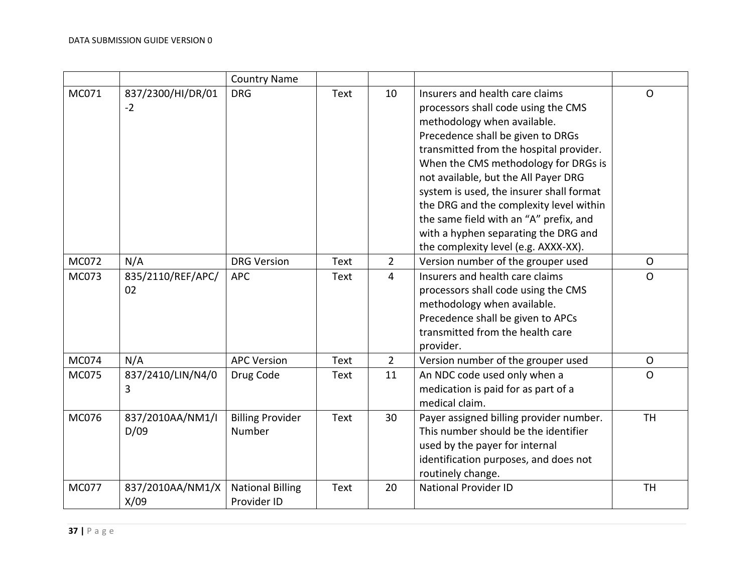|              |                           | <b>Country Name</b>                    |             |                |                                                                                                                                                                                                                                                                                                                                                                                                                                                                                        |                |
|--------------|---------------------------|----------------------------------------|-------------|----------------|----------------------------------------------------------------------------------------------------------------------------------------------------------------------------------------------------------------------------------------------------------------------------------------------------------------------------------------------------------------------------------------------------------------------------------------------------------------------------------------|----------------|
| MC071        | 837/2300/HI/DR/01<br>$-2$ | <b>DRG</b>                             | Text        | 10             | Insurers and health care claims<br>processors shall code using the CMS<br>methodology when available.<br>Precedence shall be given to DRGs<br>transmitted from the hospital provider.<br>When the CMS methodology for DRGs is<br>not available, but the All Payer DRG<br>system is used, the insurer shall format<br>the DRG and the complexity level within<br>the same field with an "A" prefix, and<br>with a hyphen separating the DRG and<br>the complexity level (e.g. AXXX-XX). | $\mathsf{O}$   |
| MC072        | N/A                       | <b>DRG Version</b>                     | Text        | $\overline{2}$ | Version number of the grouper used                                                                                                                                                                                                                                                                                                                                                                                                                                                     | $\circ$        |
| MC073        | 835/2110/REF/APC/<br>02   | <b>APC</b>                             | Text        | $\overline{4}$ | Insurers and health care claims<br>processors shall code using the CMS<br>methodology when available.<br>Precedence shall be given to APCs<br>transmitted from the health care<br>provider.                                                                                                                                                                                                                                                                                            | $\overline{O}$ |
| MC074        | N/A                       | <b>APC Version</b>                     | Text        | $\overline{2}$ | Version number of the grouper used                                                                                                                                                                                                                                                                                                                                                                                                                                                     | $\circ$        |
| MC075        | 837/2410/LIN/N4/0<br>3    | Drug Code                              | Text        | 11             | An NDC code used only when a<br>medication is paid for as part of a<br>medical claim.                                                                                                                                                                                                                                                                                                                                                                                                  | $\overline{O}$ |
| MC076        | 837/2010AA/NM1/I<br>D/09  | <b>Billing Provider</b><br>Number      | <b>Text</b> | 30             | Payer assigned billing provider number.<br>This number should be the identifier<br>used by the payer for internal<br>identification purposes, and does not<br>routinely change.                                                                                                                                                                                                                                                                                                        | <b>TH</b>      |
| <b>MC077</b> | 837/2010AA/NM1/X<br>X/09  | <b>National Billing</b><br>Provider ID | <b>Text</b> | 20             | <b>National Provider ID</b>                                                                                                                                                                                                                                                                                                                                                                                                                                                            | <b>TH</b>      |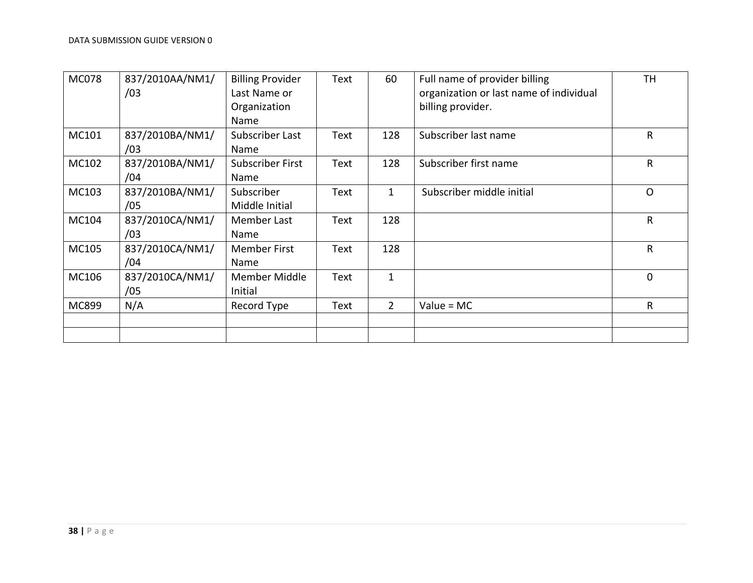| <b>MC078</b> | 837/2010AA/NM1/<br>/03 | <b>Billing Provider</b><br>Last Name or<br>Organization<br>Name | Text | 60             | Full name of provider billing<br>organization or last name of individual<br>billing provider. | TH       |
|--------------|------------------------|-----------------------------------------------------------------|------|----------------|-----------------------------------------------------------------------------------------------|----------|
| MC101        | 837/2010BA/NM1/<br>/03 | Subscriber Last<br>Name                                         | Text | 128            | Subscriber last name                                                                          | R        |
| MC102        | 837/2010BA/NM1/<br>/04 | <b>Subscriber First</b><br>Name                                 | Text | 128            | Subscriber first name                                                                         | R        |
| MC103        | 837/2010BA/NM1/<br>/05 | Subscriber<br>Middle Initial                                    | Text | 1              | Subscriber middle initial                                                                     | $\Omega$ |
| MC104        | 837/2010CA/NM1/<br>/03 | Member Last<br>Name                                             | Text | 128            |                                                                                               | R        |
| MC105        | 837/2010CA/NM1/<br>/04 | <b>Member First</b><br>Name                                     | Text | 128            |                                                                                               | R        |
| MC106        | 837/2010CA/NM1/<br>/05 | Member Middle<br>Initial                                        | Text | $\mathbf{1}$   |                                                                                               | 0        |
| MC899        | N/A                    | Record Type                                                     | Text | $\overline{2}$ | $Value = MC$                                                                                  | R        |
|              |                        |                                                                 |      |                |                                                                                               |          |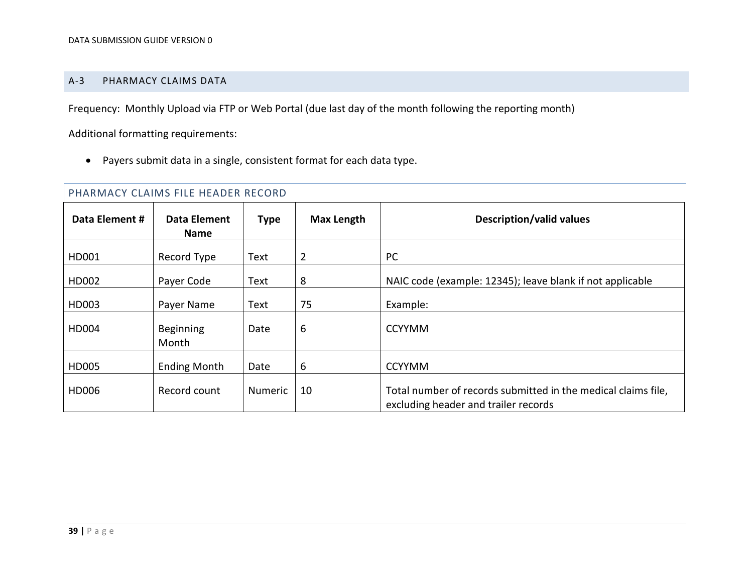#### A-3 PHARMACY CLAIMS DATA

Frequency: Monthly Upload via FTP or Web Portal (due last day of the month following the reporting month)

Additional formatting requirements:

Payers submit data in a single, consistent format for each data type.

<span id="page-38-0"></span>

| PHARMACY CLAIMS FILE HEADER RECORD |                             |             |                   |                                                                                                       |  |  |  |
|------------------------------------|-----------------------------|-------------|-------------------|-------------------------------------------------------------------------------------------------------|--|--|--|
| Data Element #                     | Data Element<br><b>Name</b> | <b>Type</b> | <b>Max Length</b> | <b>Description/valid values</b>                                                                       |  |  |  |
| HD001                              | Record Type                 | Text        | $\overline{2}$    | PC                                                                                                    |  |  |  |
| HD002                              | Payer Code                  | Text        | 8                 | NAIC code (example: 12345); leave blank if not applicable                                             |  |  |  |
| HD003                              | Payer Name                  | Text        | 75                | Example:                                                                                              |  |  |  |
| HD004                              | Beginning<br>Month          | Date        | 6                 | <b>CCYYMM</b>                                                                                         |  |  |  |
| HD005                              | <b>Ending Month</b>         | Date        | 6                 | <b>CCYYMM</b>                                                                                         |  |  |  |
| HD006                              | Record count                | Numeric     | 10                | Total number of records submitted in the medical claims file,<br>excluding header and trailer records |  |  |  |

# $\Gamma$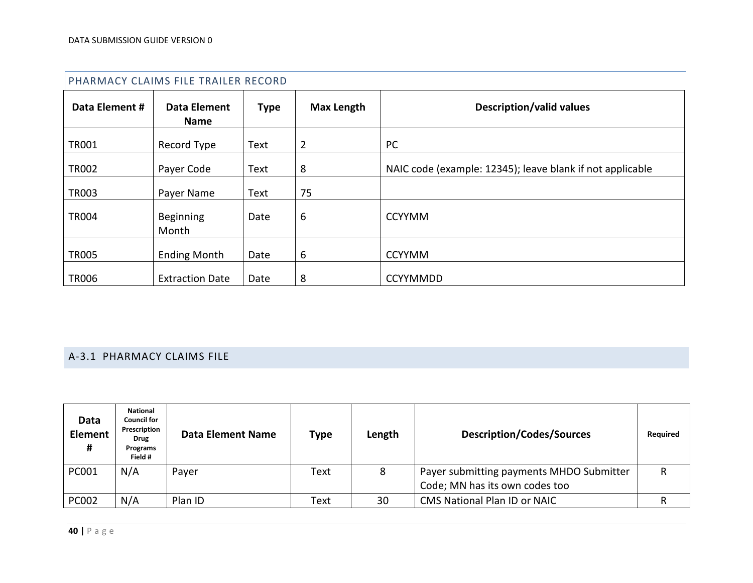|                | PHARMACY CLAIMS FILE TRAILER RECORD |             |                   |                                                           |
|----------------|-------------------------------------|-------------|-------------------|-----------------------------------------------------------|
| Data Element # | Data Element<br><b>Name</b>         | <b>Type</b> | <b>Max Length</b> | <b>Description/valid values</b>                           |
| <b>TR001</b>   | Record Type                         | Text        | $\overline{2}$    | PC                                                        |
| <b>TR002</b>   | Payer Code                          | Text        | 8                 | NAIC code (example: 12345); leave blank if not applicable |
| <b>TR003</b>   | Payer Name                          | Text        | 75                |                                                           |
| <b>TR004</b>   | Beginning<br>Month                  | Date        | 6                 | <b>CCYYMM</b>                                             |
| <b>TR005</b>   | <b>Ending Month</b>                 | Date        | 6                 | <b>CCYYMM</b>                                             |
| <b>TR006</b>   | <b>Extraction Date</b>              | Date        | 8                 | <b>CCYYMMDD</b>                                           |

# A-3.1 PHARMACY CLAIMS FILE

| Data<br><b>Element</b><br># | <b>National</b><br>Council for<br>Prescription<br>Drug<br>Programs<br>Field # | <b>Data Element Name</b> | <b>Type</b> | Length | <b>Description/Codes/Sources</b>                                           | <b>Required</b> |
|-----------------------------|-------------------------------------------------------------------------------|--------------------------|-------------|--------|----------------------------------------------------------------------------|-----------------|
| PC001                       | N/A                                                                           | Payer                    | Text        | 8      | Payer submitting payments MHDO Submitter<br>Code; MN has its own codes too | R               |
| PC002                       | N/A                                                                           | Plan ID                  | Text        | 30     | <b>CMS National Plan ID or NAIC</b>                                        |                 |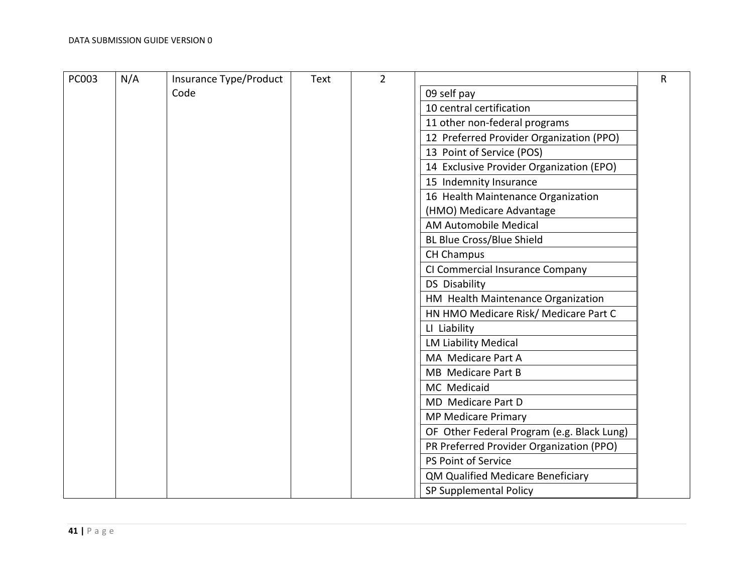| <b>PC003</b> | N/A | Insurance Type/Product | Text | $\overline{2}$ |                                            | $\mathsf{R}$ |
|--------------|-----|------------------------|------|----------------|--------------------------------------------|--------------|
|              |     | Code                   |      |                | 09 self pay                                |              |
|              |     |                        |      |                | 10 central certification                   |              |
|              |     |                        |      |                | 11 other non-federal programs              |              |
|              |     |                        |      |                | 12 Preferred Provider Organization (PPO)   |              |
|              |     |                        |      |                | 13 Point of Service (POS)                  |              |
|              |     |                        |      |                | 14 Exclusive Provider Organization (EPO)   |              |
|              |     |                        |      |                | 15 Indemnity Insurance                     |              |
|              |     |                        |      |                | 16 Health Maintenance Organization         |              |
|              |     |                        |      |                | (HMO) Medicare Advantage                   |              |
|              |     |                        |      |                | AM Automobile Medical                      |              |
|              |     |                        |      |                | <b>BL Blue Cross/Blue Shield</b>           |              |
|              |     |                        |      |                | <b>CH Champus</b>                          |              |
|              |     |                        |      |                | CI Commercial Insurance Company            |              |
|              |     |                        |      |                | <b>DS Disability</b>                       |              |
|              |     |                        |      |                | HM Health Maintenance Organization         |              |
|              |     |                        |      |                | HN HMO Medicare Risk/ Medicare Part C      |              |
|              |     |                        |      |                | LI Liability                               |              |
|              |     |                        |      |                | <b>LM Liability Medical</b>                |              |
|              |     |                        |      |                | MA Medicare Part A                         |              |
|              |     |                        |      |                | MB Medicare Part B                         |              |
|              |     |                        |      |                | MC Medicaid                                |              |
|              |     |                        |      |                | MD Medicare Part D                         |              |
|              |     |                        |      |                | <b>MP Medicare Primary</b>                 |              |
|              |     |                        |      |                | OF Other Federal Program (e.g. Black Lung) |              |
|              |     |                        |      |                | PR Preferred Provider Organization (PPO)   |              |
|              |     |                        |      |                | PS Point of Service                        |              |
|              |     |                        |      |                | QM Qualified Medicare Beneficiary          |              |
|              |     |                        |      |                | SP Supplemental Policy                     |              |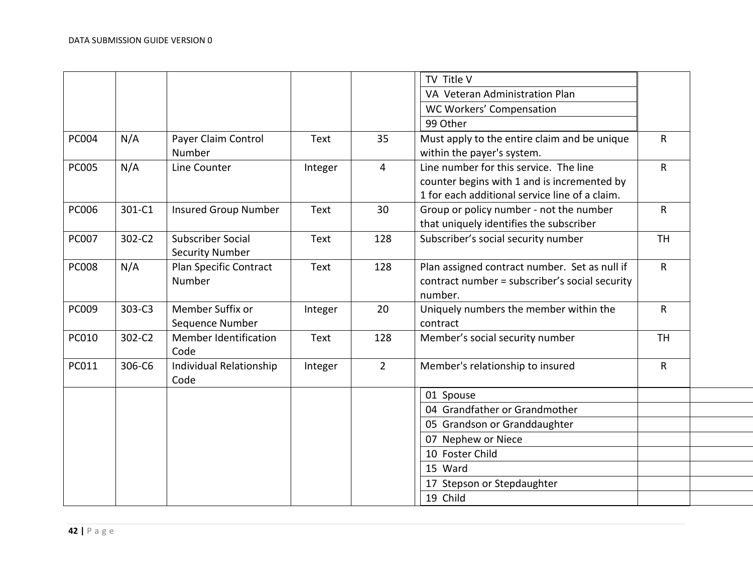|        |                              |                                                                                                                                       |                         |                                                | $\mathsf{R}$                                                                                                                                                                                                                                                                                                                                                                                                                                  |
|--------|------------------------------|---------------------------------------------------------------------------------------------------------------------------------------|-------------------------|------------------------------------------------|-----------------------------------------------------------------------------------------------------------------------------------------------------------------------------------------------------------------------------------------------------------------------------------------------------------------------------------------------------------------------------------------------------------------------------------------------|
|        |                              |                                                                                                                                       |                         |                                                |                                                                                                                                                                                                                                                                                                                                                                                                                                               |
|        |                              |                                                                                                                                       |                         |                                                | $\mathsf{R}$                                                                                                                                                                                                                                                                                                                                                                                                                                  |
|        |                              |                                                                                                                                       |                         |                                                |                                                                                                                                                                                                                                                                                                                                                                                                                                               |
|        |                              |                                                                                                                                       |                         |                                                |                                                                                                                                                                                                                                                                                                                                                                                                                                               |
|        |                              |                                                                                                                                       |                         |                                                | $\mathsf{R}$                                                                                                                                                                                                                                                                                                                                                                                                                                  |
|        |                              |                                                                                                                                       |                         |                                                |                                                                                                                                                                                                                                                                                                                                                                                                                                               |
| 302-C2 |                              | Text                                                                                                                                  | 128                     | Subscriber's social security number            | <b>TH</b>                                                                                                                                                                                                                                                                                                                                                                                                                                     |
|        | <b>Security Number</b>       |                                                                                                                                       |                         |                                                |                                                                                                                                                                                                                                                                                                                                                                                                                                               |
| N/A    | Plan Specific Contract       | <b>Text</b>                                                                                                                           | 128                     | Plan assigned contract number. Set as null if  | $\mathsf{R}$                                                                                                                                                                                                                                                                                                                                                                                                                                  |
|        |                              |                                                                                                                                       |                         | contract number = subscriber's social security |                                                                                                                                                                                                                                                                                                                                                                                                                                               |
|        |                              |                                                                                                                                       |                         | number.                                        |                                                                                                                                                                                                                                                                                                                                                                                                                                               |
| 303-C3 | Member Suffix or             | Integer                                                                                                                               | 20                      | Uniquely numbers the member within the         | $\mathsf{R}$                                                                                                                                                                                                                                                                                                                                                                                                                                  |
|        |                              |                                                                                                                                       |                         | contract                                       |                                                                                                                                                                                                                                                                                                                                                                                                                                               |
| 302-C2 | <b>Member Identification</b> | Text                                                                                                                                  | 128                     | Member's social security number                | <b>TH</b>                                                                                                                                                                                                                                                                                                                                                                                                                                     |
|        | Code                         |                                                                                                                                       |                         |                                                |                                                                                                                                                                                                                                                                                                                                                                                                                                               |
| 306-C6 | Individual Relationship      | Integer                                                                                                                               | $\overline{2}$          | Member's relationship to insured               | $\mathsf{R}$                                                                                                                                                                                                                                                                                                                                                                                                                                  |
|        | Code                         |                                                                                                                                       |                         |                                                |                                                                                                                                                                                                                                                                                                                                                                                                                                               |
|        |                              |                                                                                                                                       |                         | 01 Spouse                                      |                                                                                                                                                                                                                                                                                                                                                                                                                                               |
|        |                              |                                                                                                                                       |                         | 04 Grandfather or Grandmother                  |                                                                                                                                                                                                                                                                                                                                                                                                                                               |
|        |                              |                                                                                                                                       |                         | 05 Grandson or Granddaughter                   |                                                                                                                                                                                                                                                                                                                                                                                                                                               |
|        |                              |                                                                                                                                       |                         | 07 Nephew or Niece                             |                                                                                                                                                                                                                                                                                                                                                                                                                                               |
|        |                              |                                                                                                                                       |                         | 10 Foster Child                                |                                                                                                                                                                                                                                                                                                                                                                                                                                               |
|        |                              |                                                                                                                                       |                         | 15 Ward                                        |                                                                                                                                                                                                                                                                                                                                                                                                                                               |
|        |                              |                                                                                                                                       |                         |                                                |                                                                                                                                                                                                                                                                                                                                                                                                                                               |
|        |                              |                                                                                                                                       |                         |                                                |                                                                                                                                                                                                                                                                                                                                                                                                                                               |
|        | N/A<br>N/A<br>301-C1         | Payer Claim Control<br>Number<br>Line Counter<br><b>Insured Group Number</b><br><b>Subscriber Social</b><br>Number<br>Sequence Number | Text<br>Integer<br>Text | 35<br>4<br>30                                  | TV Title V<br>VA Veteran Administration Plan<br>WC Workers' Compensation<br>99 Other<br>Must apply to the entire claim and be unique<br>within the payer's system.<br>Line number for this service. The line<br>counter begins with 1 and is incremented by<br>1 for each additional service line of a claim.<br>Group or policy number - not the number<br>that uniquely identifies the subscriber<br>17 Stepson or Stepdaughter<br>19 Child |

 $\overline{\phantom{a}}$  $\overline{\phantom{a}}$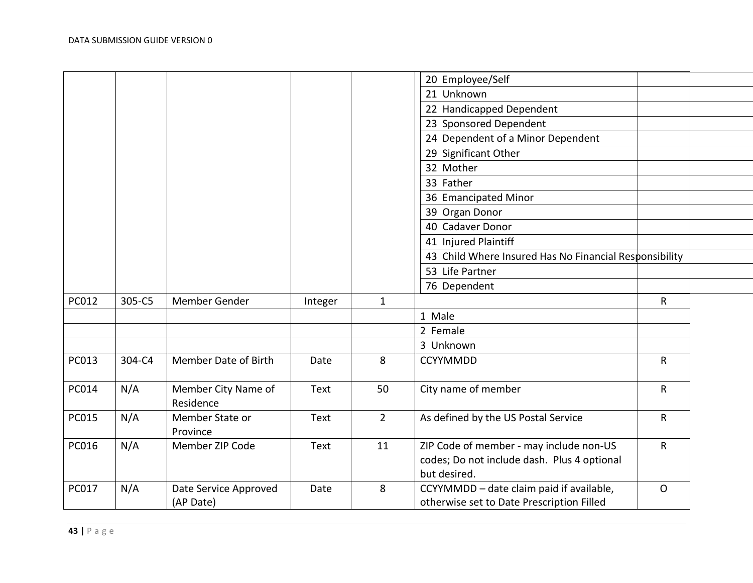|       |        |                                    |         |                | 20 Employee/Self                                                                                       |              |  |
|-------|--------|------------------------------------|---------|----------------|--------------------------------------------------------------------------------------------------------|--------------|--|
|       |        |                                    |         |                | 21 Unknown                                                                                             |              |  |
|       |        |                                    |         |                | 22 Handicapped Dependent                                                                               |              |  |
|       |        |                                    |         |                | 23 Sponsored Dependent                                                                                 |              |  |
|       |        |                                    |         |                | 24 Dependent of a Minor Dependent                                                                      |              |  |
|       |        |                                    |         |                | 29 Significant Other                                                                                   |              |  |
|       |        |                                    |         |                | 32 Mother                                                                                              |              |  |
|       |        |                                    |         |                | 33 Father                                                                                              |              |  |
|       |        |                                    |         |                | 36 Emancipated Minor                                                                                   |              |  |
|       |        |                                    |         |                | 39 Organ Donor                                                                                         |              |  |
|       |        |                                    |         |                | 40 Cadaver Donor                                                                                       |              |  |
|       |        |                                    |         |                | 41 Injured Plaintiff                                                                                   |              |  |
|       |        |                                    |         |                | 43 Child Where Insured Has No Financial Responsibility                                                 |              |  |
|       |        |                                    |         |                | 53 Life Partner                                                                                        |              |  |
|       |        |                                    |         |                | 76 Dependent                                                                                           |              |  |
| PC012 | 305-C5 | Member Gender                      | Integer | $\mathbf{1}$   |                                                                                                        | $\mathsf{R}$ |  |
|       |        |                                    |         |                | 1 Male                                                                                                 |              |  |
|       |        |                                    |         |                | 2 Female                                                                                               |              |  |
|       |        |                                    |         |                | 3 Unknown                                                                                              |              |  |
| PC013 | 304-C4 | Member Date of Birth               | Date    | 8              | <b>CCYYMMDD</b>                                                                                        | $\mathsf{R}$ |  |
|       |        |                                    |         |                |                                                                                                        |              |  |
| PC014 | N/A    | Member City Name of<br>Residence   | Text    | 50             | City name of member                                                                                    | $\mathsf{R}$ |  |
| PC015 | N/A    | Member State or<br>Province        | Text    | $\overline{2}$ | As defined by the US Postal Service                                                                    | $\mathsf{R}$ |  |
| PC016 | N/A    | Member ZIP Code                    | Text    | 11             | ZIP Code of member - may include non-US<br>codes; Do not include dash. Plus 4 optional<br>but desired. | $\mathsf{R}$ |  |
| PC017 | N/A    | Date Service Approved<br>(AP Date) | Date    | 8              | CCYYMMDD - date claim paid if available,<br>otherwise set to Date Prescription Filled                  | $\mathsf{O}$ |  |
|       |        |                                    |         |                |                                                                                                        |              |  |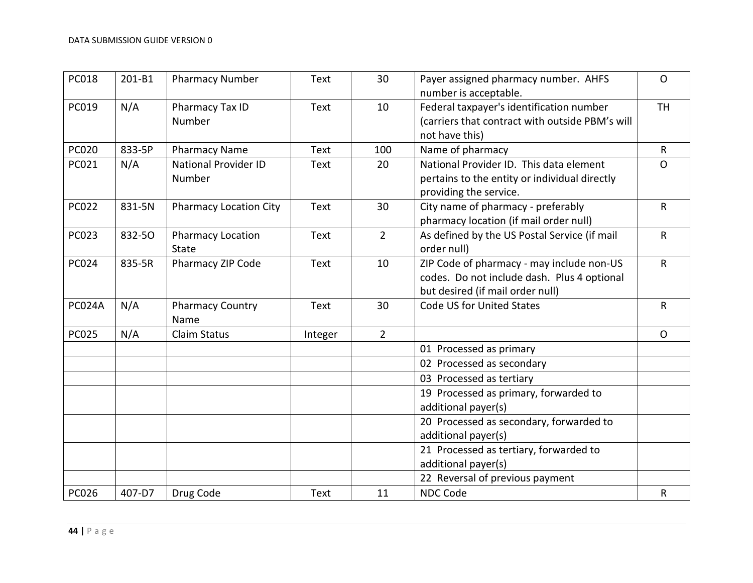| <b>PC018</b> | 201-B1 | <b>Pharmacy Number</b>                | <b>Text</b> | 30             | Payer assigned pharmacy number. AHFS<br>number is acceptable.                                                                | $\mathsf{O}$ |
|--------------|--------|---------------------------------------|-------------|----------------|------------------------------------------------------------------------------------------------------------------------------|--------------|
| PC019        | N/A    | Pharmacy Tax ID<br>Number             | <b>Text</b> | 10             | Federal taxpayer's identification number<br>(carriers that contract with outside PBM's will<br>not have this)                | <b>TH</b>    |
| <b>PC020</b> | 833-5P | <b>Pharmacy Name</b>                  | <b>Text</b> | 100            | Name of pharmacy                                                                                                             | $\mathsf{R}$ |
| PC021        | N/A    | <b>National Provider ID</b><br>Number | <b>Text</b> | 20             | National Provider ID. This data element<br>pertains to the entity or individual directly<br>providing the service.           | $\mathsf{O}$ |
| <b>PC022</b> | 831-5N | <b>Pharmacy Location City</b>         | <b>Text</b> | 30             | City name of pharmacy - preferably<br>pharmacy location (if mail order null)                                                 | $\mathsf{R}$ |
| <b>PC023</b> | 832-50 | <b>Pharmacy Location</b><br>State     | <b>Text</b> | $\overline{2}$ | As defined by the US Postal Service (if mail<br>order null)                                                                  | $\mathsf{R}$ |
| <b>PC024</b> | 835-5R | Pharmacy ZIP Code                     | <b>Text</b> | 10             | ZIP Code of pharmacy - may include non-US<br>codes. Do not include dash. Plus 4 optional<br>but desired (if mail order null) | $\mathsf{R}$ |
| PC024A       | N/A    | <b>Pharmacy Country</b><br>Name       | Text        | 30             | Code US for United States                                                                                                    | $\mathsf R$  |
| <b>PC025</b> | N/A    | <b>Claim Status</b>                   | Integer     | $\overline{2}$ |                                                                                                                              | $\mathsf{O}$ |
|              |        |                                       |             |                | 01 Processed as primary                                                                                                      |              |
|              |        |                                       |             |                | 02 Processed as secondary                                                                                                    |              |
|              |        |                                       |             |                | 03 Processed as tertiary                                                                                                     |              |
|              |        |                                       |             |                | 19 Processed as primary, forwarded to<br>additional payer(s)                                                                 |              |
|              |        |                                       |             |                | 20 Processed as secondary, forwarded to<br>additional payer(s)                                                               |              |
|              |        |                                       |             |                | 21 Processed as tertiary, forwarded to<br>additional payer(s)                                                                |              |
|              |        |                                       |             |                | 22 Reversal of previous payment                                                                                              |              |
| <b>PC026</b> | 407-D7 | Drug Code                             | <b>Text</b> | 11             | <b>NDC Code</b>                                                                                                              | $\mathsf{R}$ |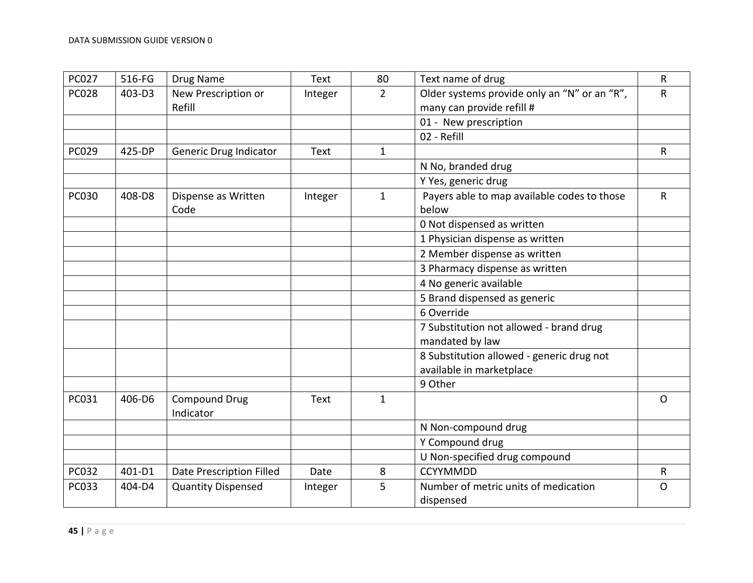| <b>PC027</b> | 516-FG | Drug Name                 | Text        | 80             | Text name of drug                            | $\mathsf{R}$ |
|--------------|--------|---------------------------|-------------|----------------|----------------------------------------------|--------------|
| <b>PC028</b> | 403-D3 | New Prescription or       | Integer     | $\overline{2}$ | Older systems provide only an "N" or an "R", | $\mathsf{R}$ |
|              |        | Refill                    |             |                | many can provide refill #                    |              |
|              |        |                           |             |                | 01 - New prescription                        |              |
|              |        |                           |             |                | 02 - Refill                                  |              |
| PC029        | 425-DP | Generic Drug Indicator    | <b>Text</b> | $\mathbf{1}$   |                                              | R            |
|              |        |                           |             |                | N No, branded drug                           |              |
|              |        |                           |             |                | Y Yes, generic drug                          |              |
| <b>PC030</b> | 408-D8 | Dispense as Written       | Integer     | $\mathbf{1}$   | Payers able to map available codes to those  | $\mathsf{R}$ |
|              |        | Code                      |             |                | below                                        |              |
|              |        |                           |             |                | 0 Not dispensed as written                   |              |
|              |        |                           |             |                | 1 Physician dispense as written              |              |
|              |        |                           |             |                | 2 Member dispense as written                 |              |
|              |        |                           |             |                | 3 Pharmacy dispense as written               |              |
|              |        |                           |             |                | 4 No generic available                       |              |
|              |        |                           |             |                | 5 Brand dispensed as generic                 |              |
|              |        |                           |             |                | 6 Override                                   |              |
|              |        |                           |             |                | 7 Substitution not allowed - brand drug      |              |
|              |        |                           |             |                | mandated by law                              |              |
|              |        |                           |             |                | 8 Substitution allowed - generic drug not    |              |
|              |        |                           |             |                | available in marketplace                     |              |
|              |        |                           |             |                | 9 Other                                      |              |
| PC031        | 406-D6 | <b>Compound Drug</b>      | Text        | $\mathbf{1}$   |                                              | $\Omega$     |
|              |        | Indicator                 |             |                |                                              |              |
|              |        |                           |             |                | N Non-compound drug                          |              |
|              |        |                           |             |                | Y Compound drug                              |              |
|              |        |                           |             |                | U Non-specified drug compound                |              |
| PC032        | 401-D1 | Date Prescription Filled  | Date        | 8              | <b>CCYYMMDD</b>                              | $\mathsf R$  |
| PC033        | 404-D4 | <b>Quantity Dispensed</b> | Integer     | 5              | Number of metric units of medication         | $\mathsf{O}$ |
|              |        |                           |             |                | dispensed                                    |              |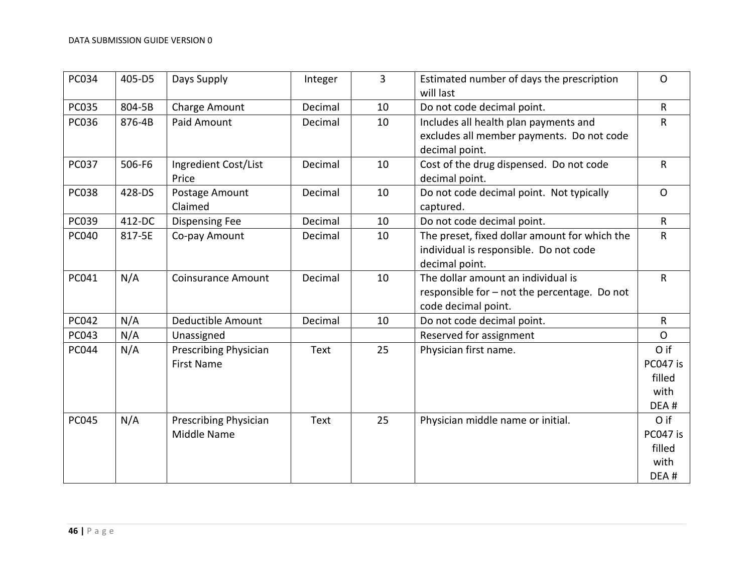| PC034        | 405-D5 | Days Supply                                | Integer     | 3  | Estimated number of days the prescription<br>will last                                                    | $\mathsf{O}$                               |
|--------------|--------|--------------------------------------------|-------------|----|-----------------------------------------------------------------------------------------------------------|--------------------------------------------|
| PC035        | 804-5B | Charge Amount                              | Decimal     | 10 | Do not code decimal point.                                                                                | $\mathsf{R}$                               |
| <b>PC036</b> | 876-4B | Paid Amount                                | Decimal     | 10 | Includes all health plan payments and<br>excludes all member payments. Do not code<br>decimal point.      | R                                          |
| <b>PC037</b> | 506-F6 | Ingredient Cost/List<br>Price              | Decimal     | 10 | Cost of the drug dispensed. Do not code<br>decimal point.                                                 | $\mathsf{R}$                               |
| <b>PC038</b> | 428-DS | Postage Amount<br>Claimed                  | Decimal     | 10 | Do not code decimal point. Not typically<br>captured.                                                     | $\mathsf{O}$                               |
| PC039        | 412-DC | <b>Dispensing Fee</b>                      | Decimal     | 10 | Do not code decimal point.                                                                                | $\mathsf{R}$                               |
| <b>PC040</b> | 817-5E | Co-pay Amount                              | Decimal     | 10 | The preset, fixed dollar amount for which the<br>individual is responsible. Do not code<br>decimal point. | $\mathsf R$                                |
| PC041        | N/A    | <b>Coinsurance Amount</b>                  | Decimal     | 10 | The dollar amount an individual is<br>responsible for - not the percentage. Do not<br>code decimal point. | $\mathsf{R}$                               |
| PC042        | N/A    | Deductible Amount                          | Decimal     | 10 | Do not code decimal point.                                                                                | $\mathsf{R}$                               |
| PC043        | N/A    | Unassigned                                 |             |    | Reserved for assignment                                                                                   | $\mathsf{O}$                               |
| PC044        | N/A    | Prescribing Physician<br><b>First Name</b> | <b>Text</b> | 25 | Physician first name.                                                                                     | O if<br>PC047 is<br>filled<br>with<br>DEA# |
| <b>PC045</b> | N/A    | Prescribing Physician<br>Middle Name       | <b>Text</b> | 25 | Physician middle name or initial.                                                                         | O if<br>PC047 is<br>filled<br>with<br>DEA# |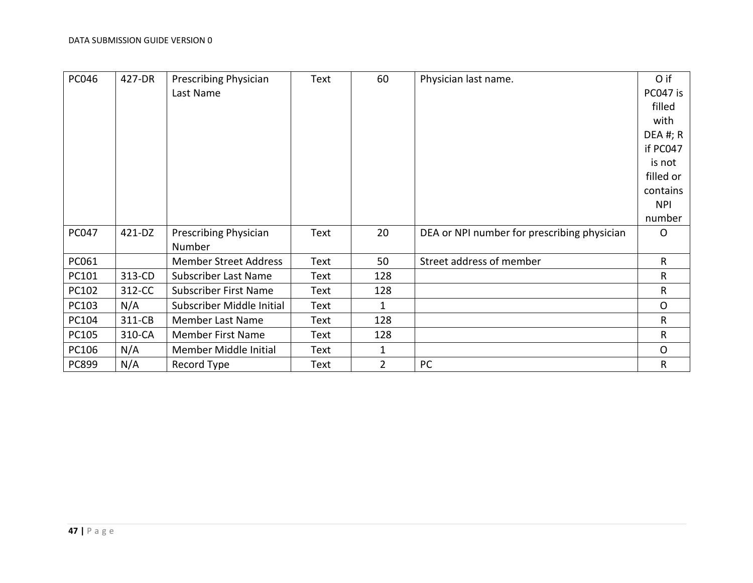| <b>PC046</b> | 427-DR | <b>Prescribing Physician</b> | <b>Text</b> | 60             | Physician last name.                        | O if         |
|--------------|--------|------------------------------|-------------|----------------|---------------------------------------------|--------------|
|              |        | Last Name                    |             |                |                                             | PC047 is     |
|              |        |                              |             |                |                                             | filled       |
|              |        |                              |             |                |                                             | with         |
|              |        |                              |             |                |                                             | DEA #; $R$   |
|              |        |                              |             |                |                                             | if PC047     |
|              |        |                              |             |                |                                             | is not       |
|              |        |                              |             |                |                                             | filled or    |
|              |        |                              |             |                |                                             | contains     |
|              |        |                              |             |                |                                             | <b>NPI</b>   |
|              |        |                              |             |                |                                             | number       |
| <b>PC047</b> | 421-DZ | <b>Prescribing Physician</b> | Text        | 20             | DEA or NPI number for prescribing physician | $\circ$      |
|              |        | Number                       |             |                |                                             |              |
| PC061        |        | <b>Member Street Address</b> | Text        | 50             | Street address of member                    | $\mathsf{R}$ |
| PC101        | 313-CD | <b>Subscriber Last Name</b>  | Text        | 128            |                                             | R            |
| PC102        | 312-CC | <b>Subscriber First Name</b> | <b>Text</b> | 128            |                                             | R            |
| PC103        | N/A    | Subscriber Middle Initial    | Text        | 1              |                                             | $\circ$      |
| PC104        | 311-CB | Member Last Name             | Text        | 128            |                                             | $\mathsf{R}$ |
| PC105        | 310-CA | <b>Member First Name</b>     | Text        | 128            |                                             | R            |
| PC106        | N/A    | Member Middle Initial        | Text        | 1              |                                             | $\circ$      |
| PC899        | N/A    | Record Type                  | Text        | $\overline{2}$ | PC                                          | $\mathsf{R}$ |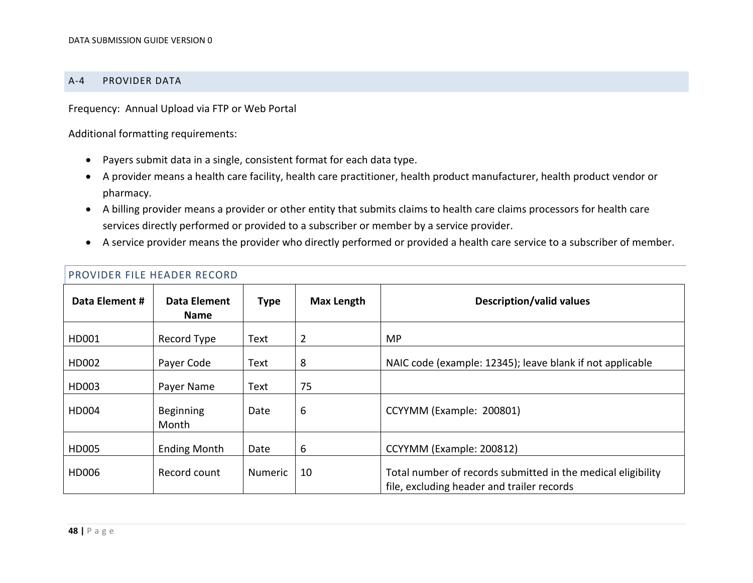#### A-4 PROVIDER DATA

Frequency: Annual Upload via FTP or Web Portal

Additional formatting requirements:

- Payers submit data in a single, consistent format for each data type.
- A provider means a health care facility, health care practitioner, health product manufacturer, health product vendor or pharmacy.
- A billing provider means a provider or other entity that submits claims to health care claims processors for health care services directly performed or provided to a subscriber or member by a service provider.
- <span id="page-47-0"></span>A service provider means the provider who directly performed or provided a health care service to a subscriber of member.

| Data Element # | Data Element<br><b>Name</b> | <b>Type</b>    | <b>Max Length</b> | <b>Description/valid values</b>                                                                            |
|----------------|-----------------------------|----------------|-------------------|------------------------------------------------------------------------------------------------------------|
| HD001          | Record Type                 | Text           | $\overline{2}$    | <b>MP</b>                                                                                                  |
| HD002          | Payer Code                  | <b>Text</b>    | 8                 | NAIC code (example: 12345); leave blank if not applicable                                                  |
| HD003          | Payer Name                  | Text           | 75                |                                                                                                            |
| <b>HD004</b>   | <b>Beginning</b><br>Month   | Date           | 6                 | CCYYMM (Example: 200801)                                                                                   |
| HD005          | <b>Ending Month</b>         | Date           | 6                 | CCYYMM (Example: 200812)                                                                                   |
| HD006          | Record count                | <b>Numeric</b> | 10                | Total number of records submitted in the medical eligibility<br>file, excluding header and trailer records |

#### PROVIDER FILE HEADER RECORD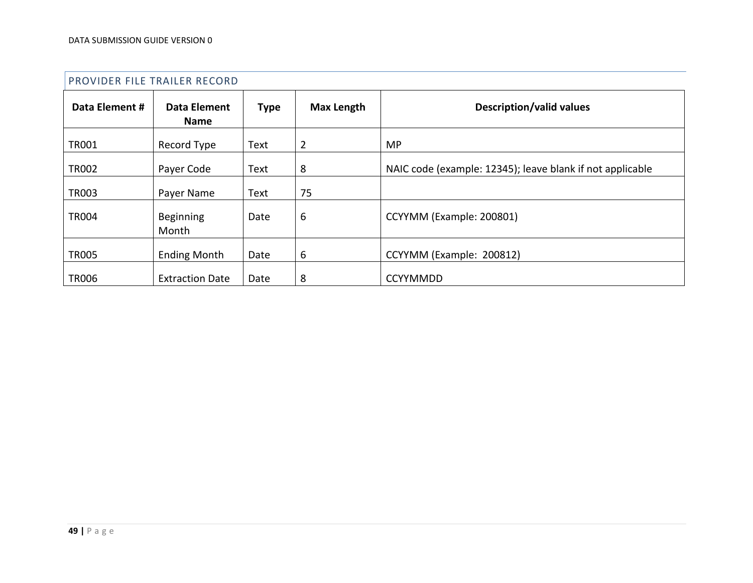|                | PROVIDER FILE TRAILER RECORD |             |                   |                                                           |  |  |  |  |  |
|----------------|------------------------------|-------------|-------------------|-----------------------------------------------------------|--|--|--|--|--|
| Data Element # | Data Element<br><b>Name</b>  | <b>Type</b> | <b>Max Length</b> | <b>Description/valid values</b>                           |  |  |  |  |  |
| <b>TR001</b>   | Record Type                  | Text        | $\overline{2}$    | <b>MP</b>                                                 |  |  |  |  |  |
| <b>TR002</b>   | Payer Code                   | Text        | 8                 | NAIC code (example: 12345); leave blank if not applicable |  |  |  |  |  |
| <b>TR003</b>   | Payer Name                   | Text        | 75                |                                                           |  |  |  |  |  |
| <b>TR004</b>   | Beginning<br>Month           | Date        | 6                 | CCYYMM (Example: 200801)                                  |  |  |  |  |  |
| <b>TR005</b>   | <b>Ending Month</b>          | Date        | 6                 | CCYYMM (Example: 200812)                                  |  |  |  |  |  |
| <b>TR006</b>   | <b>Extraction Date</b>       | Date        | 8                 | <b>CCYYMMDD</b>                                           |  |  |  |  |  |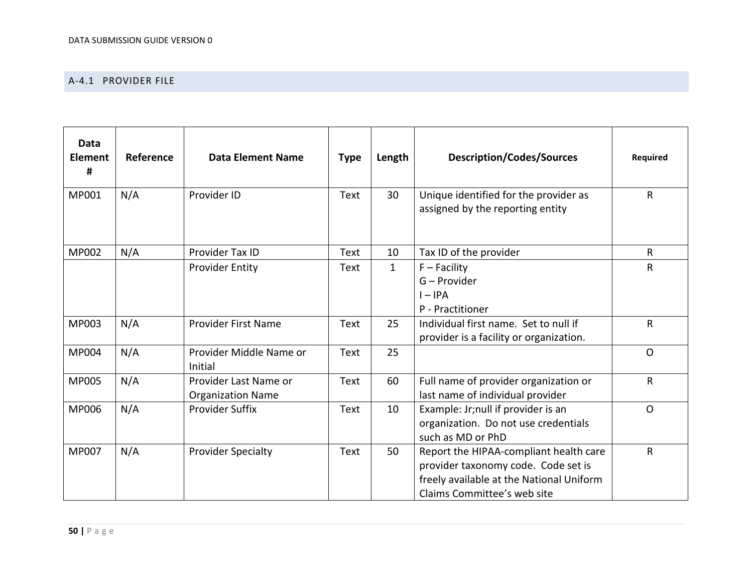### A-4.1 PROVIDER FILE

| <b>Data</b><br><b>Element</b><br># | Reference | <b>Data Element Name</b>                          | <b>Type</b> | Length       | <b>Description/Codes/Sources</b>                                                                                                                         | Required    |
|------------------------------------|-----------|---------------------------------------------------|-------------|--------------|----------------------------------------------------------------------------------------------------------------------------------------------------------|-------------|
| MP001                              | N/A       | Provider ID                                       | <b>Text</b> | 30           | Unique identified for the provider as<br>assigned by the reporting entity                                                                                | $\mathsf R$ |
| <b>MP002</b>                       | N/A       | Provider Tax ID                                   | <b>Text</b> | 10           | Tax ID of the provider                                                                                                                                   | R           |
|                                    |           | <b>Provider Entity</b>                            | <b>Text</b> | $\mathbf{1}$ | $F - Facility$<br>G - Provider<br>$I - IPA$<br>P - Practitioner                                                                                          | R           |
| MP003                              | N/A       | <b>Provider First Name</b>                        | <b>Text</b> | 25           | Individual first name. Set to null if<br>provider is a facility or organization.                                                                         | $\mathsf R$ |
| MP004                              | N/A       | Provider Middle Name or<br>Initial                | <b>Text</b> | 25           |                                                                                                                                                          | $\Omega$    |
| <b>MP005</b>                       | N/A       | Provider Last Name or<br><b>Organization Name</b> | <b>Text</b> | 60           | Full name of provider organization or<br>last name of individual provider                                                                                | R           |
| <b>MP006</b>                       | N/A       | <b>Provider Suffix</b>                            | <b>Text</b> | 10           | Example: Jr;null if provider is an<br>organization. Do not use credentials<br>such as MD or PhD                                                          | $\circ$     |
| <b>MP007</b>                       | N/A       | <b>Provider Specialty</b>                         | Text        | 50           | Report the HIPAA-compliant health care<br>provider taxonomy code. Code set is<br>freely available at the National Uniform<br>Claims Committee's web site | R           |